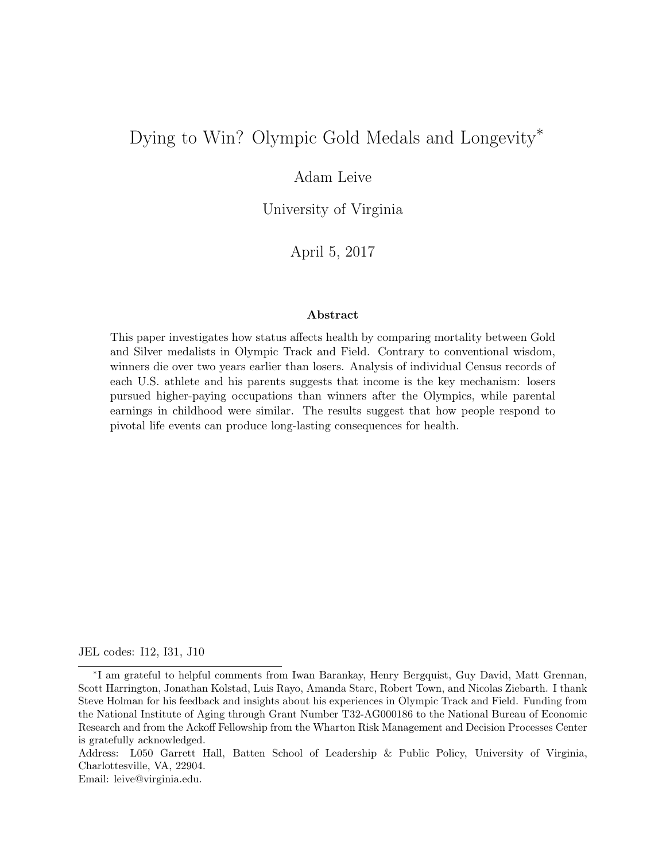# Dying to Win? Olympic Gold Medals and Longevity<sup>\*</sup>

# Adam Leive

University of Virginia

April 5, 2017

#### Abstract

This paper investigates how status affects health by comparing mortality between Gold and Silver medalists in Olympic Track and Field. Contrary to conventional wisdom, winners die over two years earlier than losers. Analysis of individual Census records of each U.S. athlete and his parents suggests that income is the key mechanism: losers pursued higher-paying occupations than winners after the Olympics, while parental earnings in childhood were similar. The results suggest that how people respond to pivotal life events can produce long-lasting consequences for health.

JEL codes: I12, I31, J10

Address: L050 Garrett Hall, Batten School of Leadership & Public Policy, University of Virginia, Charlottesville, VA, 22904.

Email: leive@virginia.edu.

<sup>⇤</sup>I am grateful to helpful comments from Iwan Barankay, Henry Bergquist, Guy David, Matt Grennan, Scott Harrington, Jonathan Kolstad, Luis Rayo, Amanda Starc, Robert Town, and Nicolas Ziebarth. I thank Steve Holman for his feedback and insights about his experiences in Olympic Track and Field. Funding from the National Institute of Aging through Grant Number T32-AG000186 to the National Bureau of Economic Research and from the Ackoff Fellowship from the Wharton Risk Management and Decision Processes Center is gratefully acknowledged.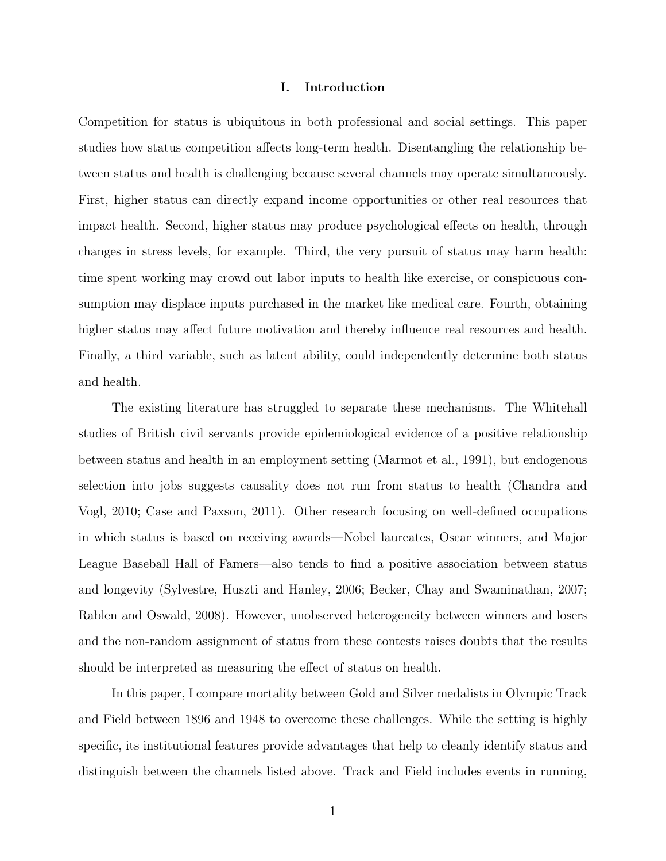# I. Introduction

Competition for status is ubiquitous in both professional and social settings. This paper studies how status competition affects long-term health. Disentangling the relationship between status and health is challenging because several channels may operate simultaneously. First, higher status can directly expand income opportunities or other real resources that impact health. Second, higher status may produce psychological effects on health, through changes in stress levels, for example. Third, the very pursuit of status may harm health: time spent working may crowd out labor inputs to health like exercise, or conspicuous consumption may displace inputs purchased in the market like medical care. Fourth, obtaining higher status may affect future motivation and thereby influence real resources and health. Finally, a third variable, such as latent ability, could independently determine both status and health.

The existing literature has struggled to separate these mechanisms. The Whitehall studies of British civil servants provide epidemiological evidence of a positive relationship between status and health in an employment setting (Marmot et al., 1991), but endogenous selection into jobs suggests causality does not run from status to health (Chandra and Vogl, 2010; Case and Paxson, 2011). Other research focusing on well-defined occupations in which status is based on receiving awards—Nobel laureates, Oscar winners, and Major League Baseball Hall of Famers—also tends to find a positive association between status and longevity (Sylvestre, Huszti and Hanley, 2006; Becker, Chay and Swaminathan, 2007; Rablen and Oswald, 2008). However, unobserved heterogeneity between winners and losers and the non-random assignment of status from these contests raises doubts that the results should be interpreted as measuring the effect of status on health.

In this paper, I compare mortality between Gold and Silver medalists in Olympic Track and Field between 1896 and 1948 to overcome these challenges. While the setting is highly specific, its institutional features provide advantages that help to cleanly identify status and distinguish between the channels listed above. Track and Field includes events in running,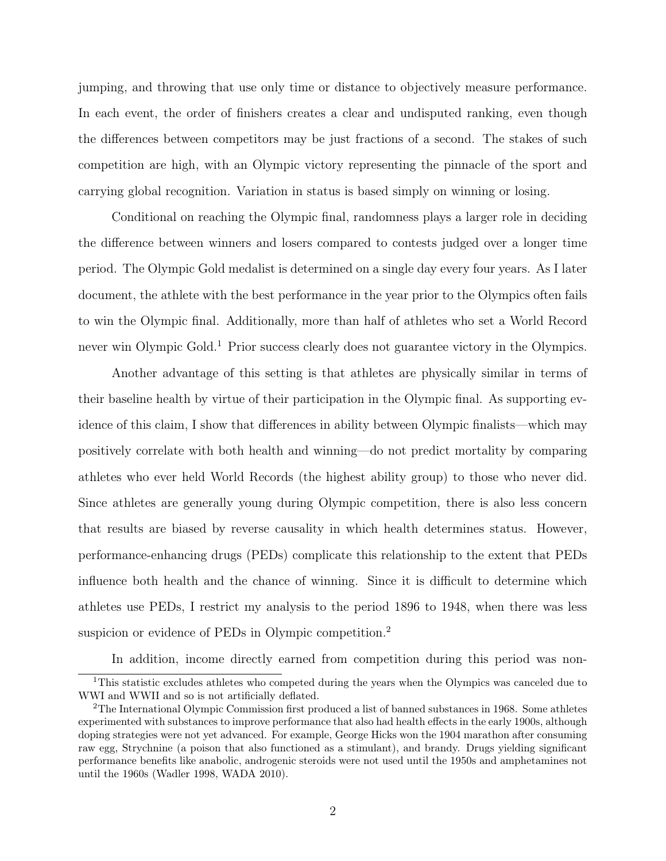jumping, and throwing that use only time or distance to objectively measure performance. In each event, the order of finishers creates a clear and undisputed ranking, even though the differences between competitors may be just fractions of a second. The stakes of such competition are high, with an Olympic victory representing the pinnacle of the sport and carrying global recognition. Variation in status is based simply on winning or losing.

Conditional on reaching the Olympic final, randomness plays a larger role in deciding the difference between winners and losers compared to contests judged over a longer time period. The Olympic Gold medalist is determined on a single day every four years. As I later document, the athlete with the best performance in the year prior to the Olympics often fails to win the Olympic final. Additionally, more than half of athletes who set a World Record never win Olympic Gold.<sup>1</sup> Prior success clearly does not guarantee victory in the Olympics.

Another advantage of this setting is that athletes are physically similar in terms of their baseline health by virtue of their participation in the Olympic final. As supporting evidence of this claim, I show that differences in ability between Olympic finalists—which may positively correlate with both health and winning—do not predict mortality by comparing athletes who ever held World Records (the highest ability group) to those who never did. Since athletes are generally young during Olympic competition, there is also less concern that results are biased by reverse causality in which health determines status. However, performance-enhancing drugs (PEDs) complicate this relationship to the extent that PEDs influence both health and the chance of winning. Since it is difficult to determine which athletes use PEDs, I restrict my analysis to the period 1896 to 1948, when there was less suspicion or evidence of PEDs in Olympic competition.<sup>2</sup>

In addition, income directly earned from competition during this period was non-

<sup>&</sup>lt;sup>1</sup>This statistic excludes athletes who competed during the years when the Olympics was canceled due to WWI and WWII and so is not artificially deflated.

<sup>2</sup>The International Olympic Commission first produced a list of banned substances in 1968. Some athletes experimented with substances to improve performance that also had health effects in the early 1900s, although doping strategies were not yet advanced. For example, George Hicks won the 1904 marathon after consuming raw egg, Strychnine (a poison that also functioned as a stimulant), and brandy. Drugs yielding significant performance benefits like anabolic, androgenic steroids were not used until the 1950s and amphetamines not until the 1960s (Wadler 1998, WADA 2010).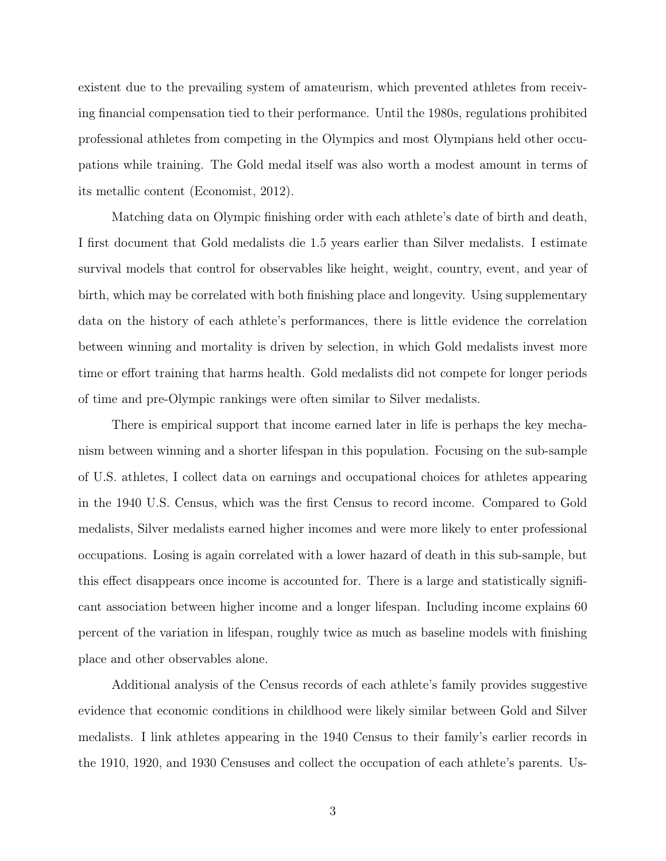existent due to the prevailing system of amateurism, which prevented athletes from receiving financial compensation tied to their performance. Until the 1980s, regulations prohibited professional athletes from competing in the Olympics and most Olympians held other occupations while training. The Gold medal itself was also worth a modest amount in terms of its metallic content (Economist, 2012).

Matching data on Olympic finishing order with each athlete's date of birth and death, I first document that Gold medalists die 1.5 years earlier than Silver medalists. I estimate survival models that control for observables like height, weight, country, event, and year of birth, which may be correlated with both finishing place and longevity. Using supplementary data on the history of each athlete's performances, there is little evidence the correlation between winning and mortality is driven by selection, in which Gold medalists invest more time or effort training that harms health. Gold medalists did not compete for longer periods of time and pre-Olympic rankings were often similar to Silver medalists.

There is empirical support that income earned later in life is perhaps the key mechanism between winning and a shorter lifespan in this population. Focusing on the sub-sample of U.S. athletes, I collect data on earnings and occupational choices for athletes appearing in the 1940 U.S. Census, which was the first Census to record income. Compared to Gold medalists, Silver medalists earned higher incomes and were more likely to enter professional occupations. Losing is again correlated with a lower hazard of death in this sub-sample, but this effect disappears once income is accounted for. There is a large and statistically significant association between higher income and a longer lifespan. Including income explains 60 percent of the variation in lifespan, roughly twice as much as baseline models with finishing place and other observables alone.

Additional analysis of the Census records of each athlete's family provides suggestive evidence that economic conditions in childhood were likely similar between Gold and Silver medalists. I link athletes appearing in the 1940 Census to their family's earlier records in the 1910, 1920, and 1930 Censuses and collect the occupation of each athlete's parents. Us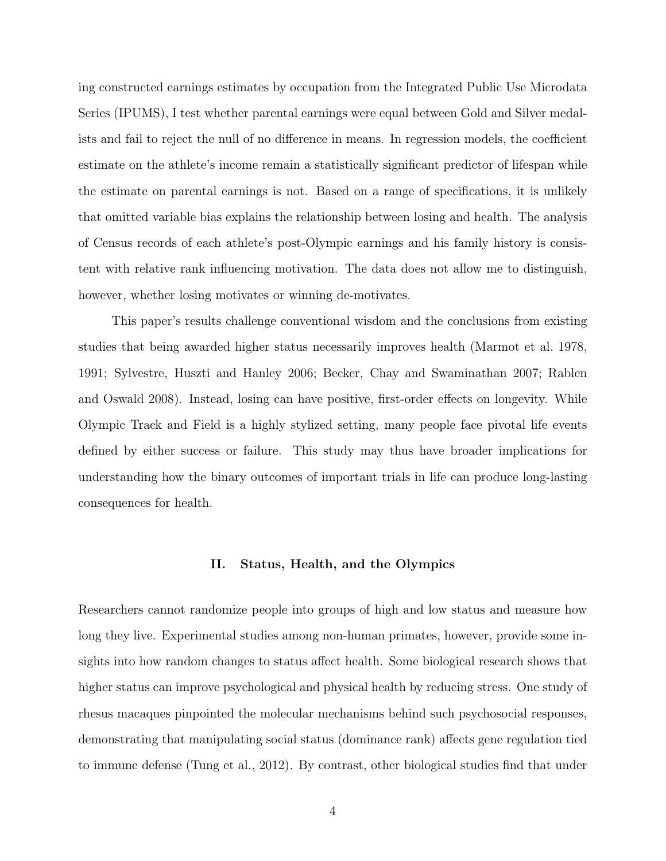ing constructed earnings estimates by occupation from the Integrated Public Use Microdata Series (IPUMS), I test whether parental earnings were equal between Gold and Silver medalists and fail to reject the null of no difference in means. In regression models, the coefficient estimate on the athlete's income remain a statistically significant predictor of lifespan while the estimate on parental earnings is not. Based on a range of specifications, it is unlikely that omitted variable bias explains the relationship between losing and health. The analysis of Census records of each athlete's post-Olympic earnings and his family history is consistent with relative rank influencing motivation. The data does not allow me to distinguish, however, whether losing motivates or winning de-motivates.

This paper's results challenge conventional wisdom and the conclusions from existing studies that being awarded higher status necessarily improves health (Marmot et al. 1978, 1991; Sylvestre, Huszti and Hanley 2006; Becker, Chay and Swaminathan 2007; Rablen and Oswald 2008). Instead, losing can have positive, first-order effects on longevity. While Olympic Track and Field is a highly stylized setting, many people face pivotal life events defined by either success or failure. This study may thus have broader implications for understanding how the binary outcomes of important trials in life can produce long-lasting consequences for health.

# II. Status, Health, and the Olympics

Researchers cannot randomize people into groups of high and low status and measure how long they live. Experimental studies among non-human primates, however, provide some insights into how random changes to status affect health. Some biological research shows that higher status can improve psychological and physical health by reducing stress. One study of rhesus macaques pinpointed the molecular mechanisms behind such psychosocial responses, demonstrating that manipulating social status (dominance rank) affects gene regulation tied to immune defense (Tung et al., 2012). By contrast, other biological studies find that under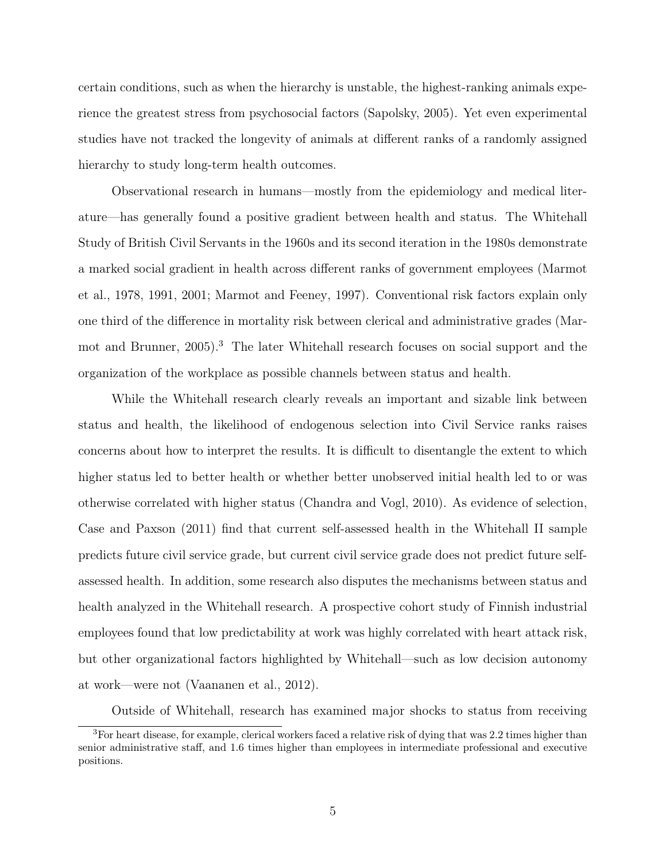certain conditions, such as when the hierarchy is unstable, the highest-ranking animals experience the greatest stress from psychosocial factors (Sapolsky, 2005). Yet even experimental studies have not tracked the longevity of animals at different ranks of a randomly assigned hierarchy to study long-term health outcomes.

Observational research in humans—mostly from the epidemiology and medical literature—has generally found a positive gradient between health and status. The Whitehall Study of British Civil Servants in the 1960s and its second iteration in the 1980s demonstrate a marked social gradient in health across different ranks of government employees (Marmot et al., 1978, 1991, 2001; Marmot and Feeney, 1997). Conventional risk factors explain only one third of the difference in mortality risk between clerical and administrative grades (Marmot and Brunner, 2005).<sup>3</sup> The later Whitehall research focuses on social support and the organization of the workplace as possible channels between status and health.

While the Whitehall research clearly reveals an important and sizable link between status and health, the likelihood of endogenous selection into Civil Service ranks raises concerns about how to interpret the results. It is difficult to disentangle the extent to which higher status led to better health or whether better unobserved initial health led to or was otherwise correlated with higher status (Chandra and Vogl, 2010). As evidence of selection, Case and Paxson (2011) find that current self-assessed health in the Whitehall II sample predicts future civil service grade, but current civil service grade does not predict future selfassessed health. In addition, some research also disputes the mechanisms between status and health analyzed in the Whitehall research. A prospective cohort study of Finnish industrial employees found that low predictability at work was highly correlated with heart attack risk, but other organizational factors highlighted by Whitehall—such as low decision autonomy at work—were not (Vaananen et al., 2012).

Outside of Whitehall, research has examined major shocks to status from receiving

<sup>3</sup>For heart disease, for example, clerical workers faced a relative risk of dying that was 2.2 times higher than senior administrative staff, and 1.6 times higher than employees in intermediate professional and executive positions.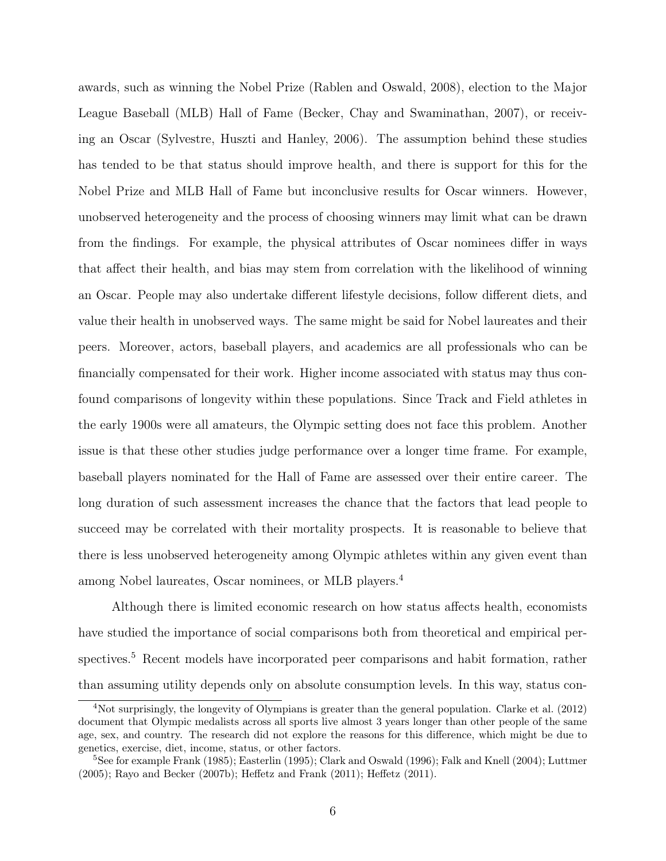awards, such as winning the Nobel Prize (Rablen and Oswald, 2008), election to the Major League Baseball (MLB) Hall of Fame (Becker, Chay and Swaminathan, 2007), or receiving an Oscar (Sylvestre, Huszti and Hanley, 2006). The assumption behind these studies has tended to be that status should improve health, and there is support for this for the Nobel Prize and MLB Hall of Fame but inconclusive results for Oscar winners. However, unobserved heterogeneity and the process of choosing winners may limit what can be drawn from the findings. For example, the physical attributes of Oscar nominees differ in ways that affect their health, and bias may stem from correlation with the likelihood of winning an Oscar. People may also undertake different lifestyle decisions, follow different diets, and value their health in unobserved ways. The same might be said for Nobel laureates and their peers. Moreover, actors, baseball players, and academics are all professionals who can be financially compensated for their work. Higher income associated with status may thus confound comparisons of longevity within these populations. Since Track and Field athletes in the early 1900s were all amateurs, the Olympic setting does not face this problem. Another issue is that these other studies judge performance over a longer time frame. For example, baseball players nominated for the Hall of Fame are assessed over their entire career. The long duration of such assessment increases the chance that the factors that lead people to succeed may be correlated with their mortality prospects. It is reasonable to believe that there is less unobserved heterogeneity among Olympic athletes within any given event than among Nobel laureates, Oscar nominees, or MLB players.<sup>4</sup>

Although there is limited economic research on how status affects health, economists have studied the importance of social comparisons both from theoretical and empirical perspectives.<sup>5</sup> Recent models have incorporated peer comparisons and habit formation, rather than assuming utility depends only on absolute consumption levels. In this way, status con-

<sup>4</sup>Not surprisingly, the longevity of Olympians is greater than the general population. Clarke et al. (2012) document that Olympic medalists across all sports live almost 3 years longer than other people of the same age, sex, and country. The research did not explore the reasons for this difference, which might be due to genetics, exercise, diet, income, status, or other factors.

<sup>5</sup>See for example Frank (1985); Easterlin (1995); Clark and Oswald (1996); Falk and Knell (2004); Luttmer (2005); Rayo and Becker (2007b); Heffetz and Frank (2011); Heffetz (2011).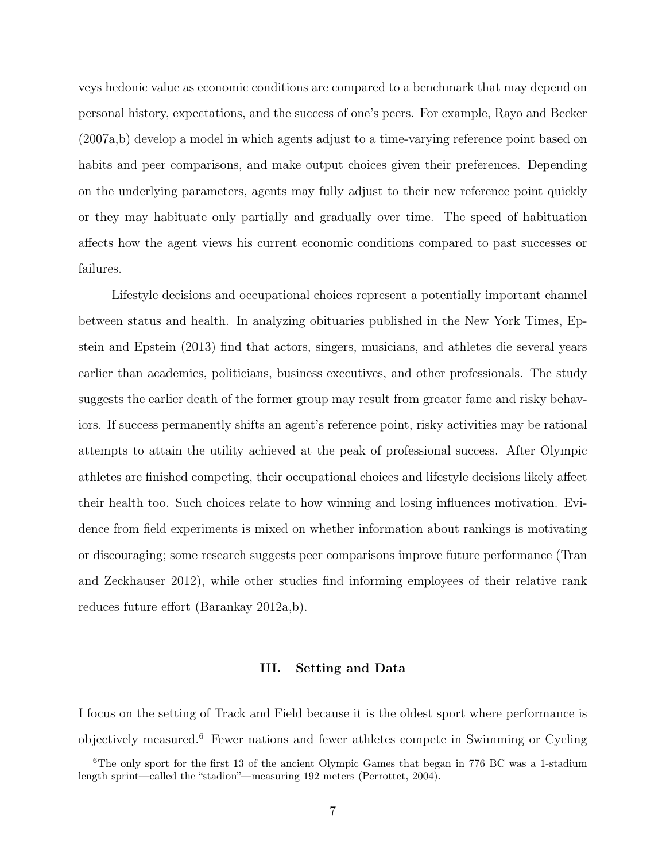veys hedonic value as economic conditions are compared to a benchmark that may depend on personal history, expectations, and the success of one's peers. For example, Rayo and Becker (2007a,b) develop a model in which agents adjust to a time-varying reference point based on habits and peer comparisons, and make output choices given their preferences. Depending on the underlying parameters, agents may fully adjust to their new reference point quickly or they may habituate only partially and gradually over time. The speed of habituation affects how the agent views his current economic conditions compared to past successes or failures.

Lifestyle decisions and occupational choices represent a potentially important channel between status and health. In analyzing obituaries published in the New York Times, Epstein and Epstein (2013) find that actors, singers, musicians, and athletes die several years earlier than academics, politicians, business executives, and other professionals. The study suggests the earlier death of the former group may result from greater fame and risky behaviors. If success permanently shifts an agent's reference point, risky activities may be rational attempts to attain the utility achieved at the peak of professional success. After Olympic athletes are finished competing, their occupational choices and lifestyle decisions likely affect their health too. Such choices relate to how winning and losing influences motivation. Evidence from field experiments is mixed on whether information about rankings is motivating or discouraging; some research suggests peer comparisons improve future performance (Tran and Zeckhauser 2012), while other studies find informing employees of their relative rank reduces future effort (Barankay 2012a,b).

#### III. Setting and Data

I focus on the setting of Track and Field because it is the oldest sport where performance is objectively measured.<sup>6</sup> Fewer nations and fewer athletes compete in Swimming or Cycling

 $6$ The only sport for the first 13 of the ancient Olympic Games that began in 776 BC was a 1-stadium length sprint—called the "stadion"—measuring 192 meters (Perrottet, 2004).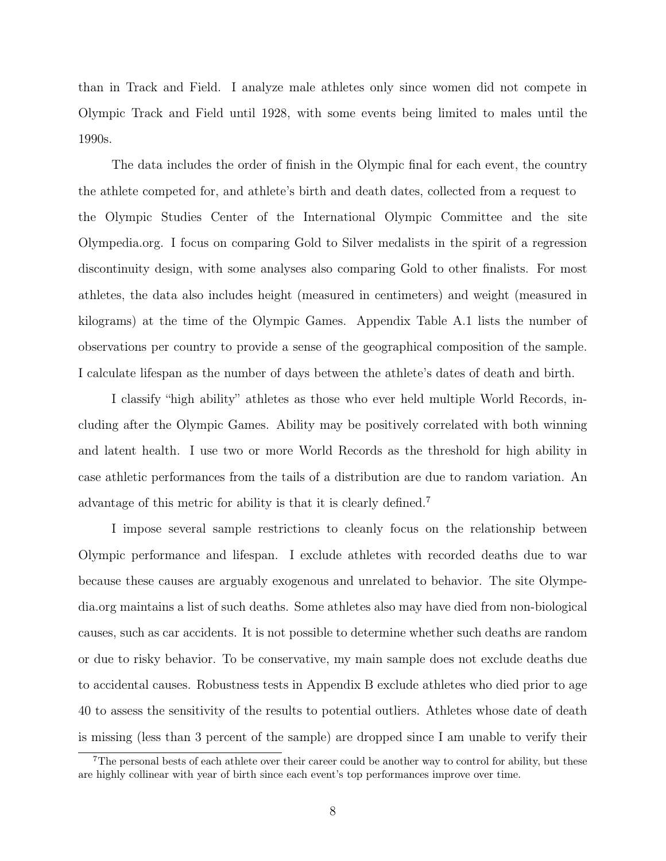than in Track and Field. I analyze male athletes only since women did not compete in Olympic Track and Field until 1928, with some events being limited to males until the 1990s.

The data includes the order of finish in the Olympic final for each event, the country the athlete competed for, and athlete's birth and death dates, collected from a request to the Olympic Studies Center of the International Olympic Committee and the site Olympedia.org. I focus on comparing Gold to Silver medalists in the spirit of a regression discontinuity design, with some analyses also comparing Gold to other finalists. For most athletes, the data also includes height (measured in centimeters) and weight (measured in kilograms) at the time of the Olympic Games. Appendix Table A.1 lists the number of observations per country to provide a sense of the geographical composition of the sample. I calculate lifespan as the number of days between the athlete's dates of death and birth.

I classify "high ability" athletes as those who ever held multiple World Records, including after the Olympic Games. Ability may be positively correlated with both winning and latent health. I use two or more World Records as the threshold for high ability in case athletic performances from the tails of a distribution are due to random variation. An advantage of this metric for ability is that it is clearly defined.<sup>7</sup>

I impose several sample restrictions to cleanly focus on the relationship between Olympic performance and lifespan. I exclude athletes with recorded deaths due to war because these causes are arguably exogenous and unrelated to behavior. The site Olympedia.org maintains a list of such deaths. Some athletes also may have died from non-biological causes, such as car accidents. It is not possible to determine whether such deaths are random or due to risky behavior. To be conservative, my main sample does not exclude deaths due to accidental causes. Robustness tests in Appendix B exclude athletes who died prior to age 40 to assess the sensitivity of the results to potential outliers. Athletes whose date of death is missing (less than 3 percent of the sample) are dropped since I am unable to verify their

<sup>&</sup>lt;sup>7</sup>The personal bests of each athlete over their career could be another way to control for ability, but these are highly collinear with year of birth since each event's top performances improve over time.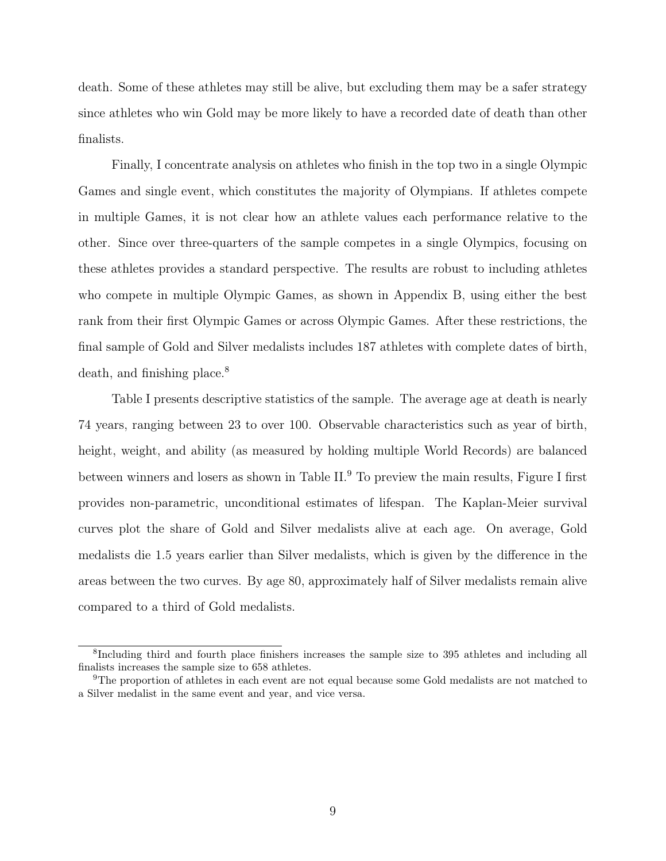death. Some of these athletes may still be alive, but excluding them may be a safer strategy since athletes who win Gold may be more likely to have a recorded date of death than other finalists.

Finally, I concentrate analysis on athletes who finish in the top two in a single Olympic Games and single event, which constitutes the majority of Olympians. If athletes compete in multiple Games, it is not clear how an athlete values each performance relative to the other. Since over three-quarters of the sample competes in a single Olympics, focusing on these athletes provides a standard perspective. The results are robust to including athletes who compete in multiple Olympic Games, as shown in Appendix B, using either the best rank from their first Olympic Games or across Olympic Games. After these restrictions, the final sample of Gold and Silver medalists includes 187 athletes with complete dates of birth, death, and finishing place.<sup>8</sup>

Table I presents descriptive statistics of the sample. The average age at death is nearly 74 years, ranging between 23 to over 100. Observable characteristics such as year of birth, height, weight, and ability (as measured by holding multiple World Records) are balanced between winners and losers as shown in Table II.<sup>9</sup> To preview the main results, Figure I first provides non-parametric, unconditional estimates of lifespan. The Kaplan-Meier survival curves plot the share of Gold and Silver medalists alive at each age. On average, Gold medalists die 1.5 years earlier than Silver medalists, which is given by the difference in the areas between the two curves. By age 80, approximately half of Silver medalists remain alive compared to a third of Gold medalists.

<sup>8</sup>Including third and fourth place finishers increases the sample size to 395 athletes and including all finalists increases the sample size to 658 athletes.

<sup>9</sup>The proportion of athletes in each event are not equal because some Gold medalists are not matched to a Silver medalist in the same event and year, and vice versa.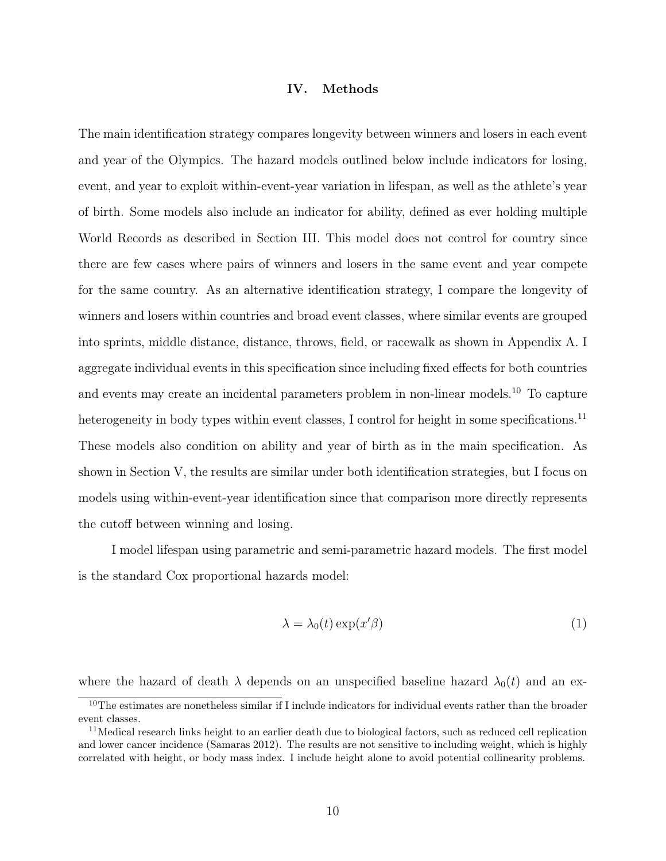## IV. Methods

The main identification strategy compares longevity between winners and losers in each event and year of the Olympics. The hazard models outlined below include indicators for losing, event, and year to exploit within-event-year variation in lifespan, as well as the athlete's year of birth. Some models also include an indicator for ability, defined as ever holding multiple World Records as described in Section III. This model does not control for country since there are few cases where pairs of winners and losers in the same event and year compete for the same country. As an alternative identification strategy, I compare the longevity of winners and losers within countries and broad event classes, where similar events are grouped into sprints, middle distance, distance, throws, field, or racewalk as shown in Appendix A. I aggregate individual events in this specification since including fixed effects for both countries and events may create an incidental parameters problem in non-linear models.<sup>10</sup> To capture heterogeneity in body types within event classes, I control for height in some specifications.<sup>11</sup> These models also condition on ability and year of birth as in the main specification. As shown in Section V, the results are similar under both identification strategies, but I focus on models using within-event-year identification since that comparison more directly represents the cutoff between winning and losing.

I model lifespan using parametric and semi-parametric hazard models. The first model is the standard Cox proportional hazards model:

$$
\lambda = \lambda_0(t) \exp(x'\beta) \tag{1}
$$

where the hazard of death  $\lambda$  depends on an unspecified baseline hazard  $\lambda_0(t)$  and an ex-

<sup>&</sup>lt;sup>10</sup>The estimates are nonetheless similar if I include indicators for individual events rather than the broader event classes.

 $11$ Medical research links height to an earlier death due to biological factors, such as reduced cell replication and lower cancer incidence (Samaras 2012). The results are not sensitive to including weight, which is highly correlated with height, or body mass index. I include height alone to avoid potential collinearity problems.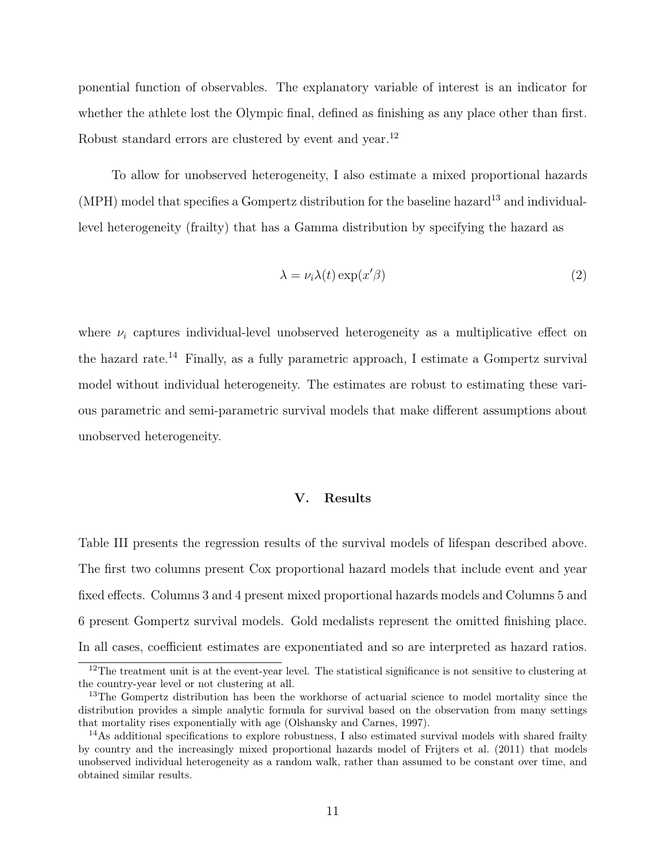ponential function of observables. The explanatory variable of interest is an indicator for whether the athlete lost the Olympic final, defined as finishing as any place other than first. Robust standard errors are clustered by event and year.<sup>12</sup>

To allow for unobserved heterogeneity, I also estimate a mixed proportional hazards  $(MPH)$  model that specifies a Gompertz distribution for the baseline hazard<sup>13</sup> and individuallevel heterogeneity (frailty) that has a Gamma distribution by specifying the hazard as

$$
\lambda = \nu_i \lambda(t) \exp(x'\beta) \tag{2}
$$

where  $\nu_i$  captures individual-level unobserved heterogeneity as a multiplicative effect on the hazard rate.<sup>14</sup> Finally, as a fully parametric approach, I estimate a Gompertz survival model without individual heterogeneity. The estimates are robust to estimating these various parametric and semi-parametric survival models that make different assumptions about unobserved heterogeneity.

# V. Results

Table III presents the regression results of the survival models of lifespan described above. The first two columns present Cox proportional hazard models that include event and year fixed effects. Columns 3 and 4 present mixed proportional hazards models and Columns 5 and 6 present Gompertz survival models. Gold medalists represent the omitted finishing place. In all cases, coefficient estimates are exponentiated and so are interpreted as hazard ratios.

 $12$ The treatment unit is at the event-year level. The statistical significance is not sensitive to clustering at the country-year level or not clustering at all.

<sup>&</sup>lt;sup>13</sup>The Gompertz distribution has been the workhorse of actuarial science to model mortality since the distribution provides a simple analytic formula for survival based on the observation from many settings that mortality rises exponentially with age (Olshansky and Carnes, 1997).

 $14$ As additional specifications to explore robustness, I also estimated survival models with shared frailty by country and the increasingly mixed proportional hazards model of Frijters et al. (2011) that models unobserved individual heterogeneity as a random walk, rather than assumed to be constant over time, and obtained similar results.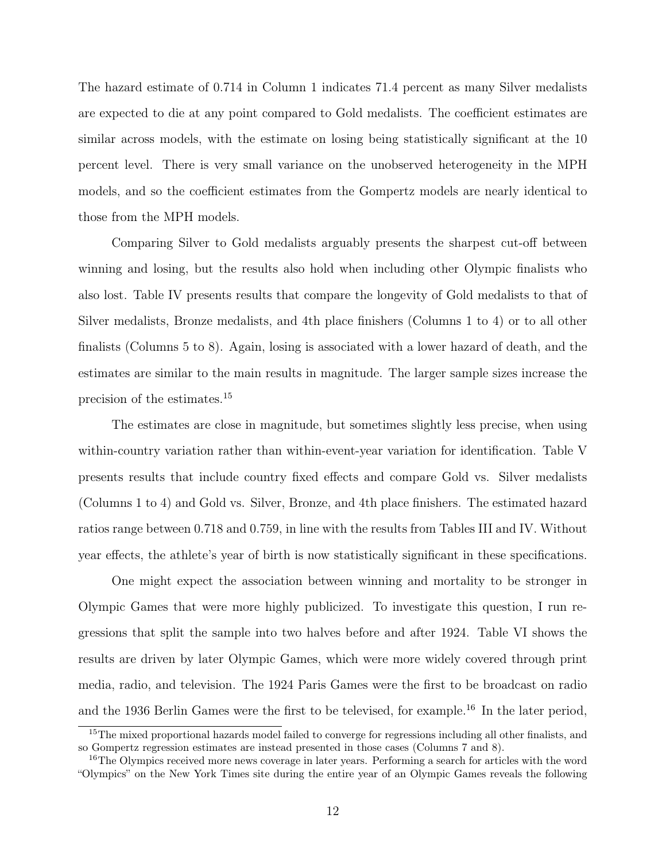The hazard estimate of 0.714 in Column 1 indicates 71.4 percent as many Silver medalists are expected to die at any point compared to Gold medalists. The coefficient estimates are similar across models, with the estimate on losing being statistically significant at the 10 percent level. There is very small variance on the unobserved heterogeneity in the MPH models, and so the coefficient estimates from the Gompertz models are nearly identical to those from the MPH models.

Comparing Silver to Gold medalists arguably presents the sharpest cut-off between winning and losing, but the results also hold when including other Olympic finalists who also lost. Table IV presents results that compare the longevity of Gold medalists to that of Silver medalists, Bronze medalists, and 4th place finishers (Columns 1 to 4) or to all other finalists (Columns 5 to 8). Again, losing is associated with a lower hazard of death, and the estimates are similar to the main results in magnitude. The larger sample sizes increase the precision of the estimates.<sup>15</sup>

The estimates are close in magnitude, but sometimes slightly less precise, when using within-country variation rather than within-event-year variation for identification. Table V presents results that include country fixed effects and compare Gold vs. Silver medalists (Columns 1 to 4) and Gold vs. Silver, Bronze, and 4th place finishers. The estimated hazard ratios range between 0.718 and 0.759, in line with the results from Tables III and IV. Without year effects, the athlete's year of birth is now statistically significant in these specifications.

One might expect the association between winning and mortality to be stronger in Olympic Games that were more highly publicized. To investigate this question, I run regressions that split the sample into two halves before and after 1924. Table VI shows the results are driven by later Olympic Games, which were more widely covered through print media, radio, and television. The 1924 Paris Games were the first to be broadcast on radio and the 1936 Berlin Games were the first to be televised, for example.<sup>16</sup> In the later period,

<sup>&</sup>lt;sup>15</sup>The mixed proportional hazards model failed to converge for regressions including all other finalists, and so Gompertz regression estimates are instead presented in those cases (Columns 7 and 8).

<sup>&</sup>lt;sup>16</sup>The Olympics received more news coverage in later years. Performing a search for articles with the word "Olympics" on the New York Times site during the entire year of an Olympic Games reveals the following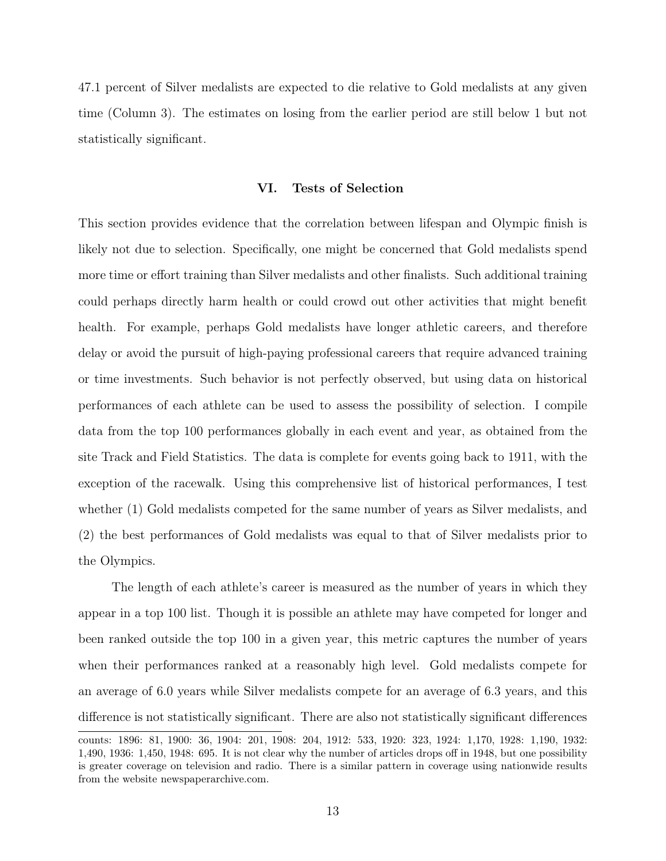47.1 percent of Silver medalists are expected to die relative to Gold medalists at any given time (Column 3). The estimates on losing from the earlier period are still below 1 but not statistically significant.

# VI. Tests of Selection

This section provides evidence that the correlation between lifespan and Olympic finish is likely not due to selection. Specifically, one might be concerned that Gold medalists spend more time or effort training than Silver medalists and other finalists. Such additional training could perhaps directly harm health or could crowd out other activities that might benefit health. For example, perhaps Gold medalists have longer athletic careers, and therefore delay or avoid the pursuit of high-paying professional careers that require advanced training or time investments. Such behavior is not perfectly observed, but using data on historical performances of each athlete can be used to assess the possibility of selection. I compile data from the top 100 performances globally in each event and year, as obtained from the site Track and Field Statistics. The data is complete for events going back to 1911, with the exception of the racewalk. Using this comprehensive list of historical performances, I test whether (1) Gold medalists competed for the same number of years as Silver medalists, and (2) the best performances of Gold medalists was equal to that of Silver medalists prior to the Olympics.

The length of each athlete's career is measured as the number of years in which they appear in a top 100 list. Though it is possible an athlete may have competed for longer and been ranked outside the top 100 in a given year, this metric captures the number of years when their performances ranked at a reasonably high level. Gold medalists compete for an average of 6.0 years while Silver medalists compete for an average of 6.3 years, and this difference is not statistically significant. There are also not statistically significant differences

counts: 1896: 81, 1900: 36, 1904: 201, 1908: 204, 1912: 533, 1920: 323, 1924: 1,170, 1928: 1,190, 1932: 1,490, 1936: 1,450, 1948: 695. It is not clear why the number of articles drops off in 1948, but one possibility is greater coverage on television and radio. There is a similar pattern in coverage using nationwide results from the website newspaperarchive.com.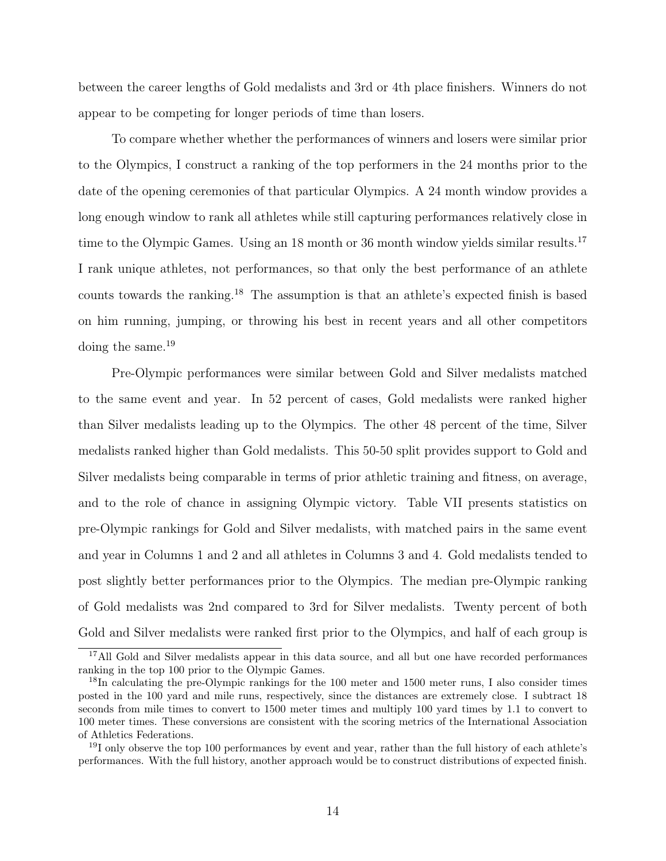between the career lengths of Gold medalists and 3rd or 4th place finishers. Winners do not appear to be competing for longer periods of time than losers.

To compare whether whether the performances of winners and losers were similar prior to the Olympics, I construct a ranking of the top performers in the 24 months prior to the date of the opening ceremonies of that particular Olympics. A 24 month window provides a long enough window to rank all athletes while still capturing performances relatively close in time to the Olympic Games. Using an 18 month or 36 month window yields similar results.<sup>17</sup> I rank unique athletes, not performances, so that only the best performance of an athlete counts towards the ranking.<sup>18</sup> The assumption is that an athlete's expected finish is based on him running, jumping, or throwing his best in recent years and all other competitors doing the same.<sup>19</sup>

Pre-Olympic performances were similar between Gold and Silver medalists matched to the same event and year. In 52 percent of cases, Gold medalists were ranked higher than Silver medalists leading up to the Olympics. The other 48 percent of the time, Silver medalists ranked higher than Gold medalists. This 50-50 split provides support to Gold and Silver medalists being comparable in terms of prior athletic training and fitness, on average, and to the role of chance in assigning Olympic victory. Table VII presents statistics on pre-Olympic rankings for Gold and Silver medalists, with matched pairs in the same event and year in Columns 1 and 2 and all athletes in Columns 3 and 4. Gold medalists tended to post slightly better performances prior to the Olympics. The median pre-Olympic ranking of Gold medalists was 2nd compared to 3rd for Silver medalists. Twenty percent of both Gold and Silver medalists were ranked first prior to the Olympics, and half of each group is

<sup>&</sup>lt;sup>17</sup>All Gold and Silver medalists appear in this data source, and all but one have recorded performances ranking in the top 100 prior to the Olympic Games.

<sup>&</sup>lt;sup>18</sup>In calculating the pre-Olympic rankings for the 100 meter and 1500 meter runs, I also consider times posted in the 100 yard and mile runs, respectively, since the distances are extremely close. I subtract 18 seconds from mile times to convert to 1500 meter times and multiply 100 yard times by 1.1 to convert to 100 meter times. These conversions are consistent with the scoring metrics of the International Association of Athletics Federations.

<sup>&</sup>lt;sup>19</sup>I only observe the top 100 performances by event and year, rather than the full history of each athlete's performances. With the full history, another approach would be to construct distributions of expected finish.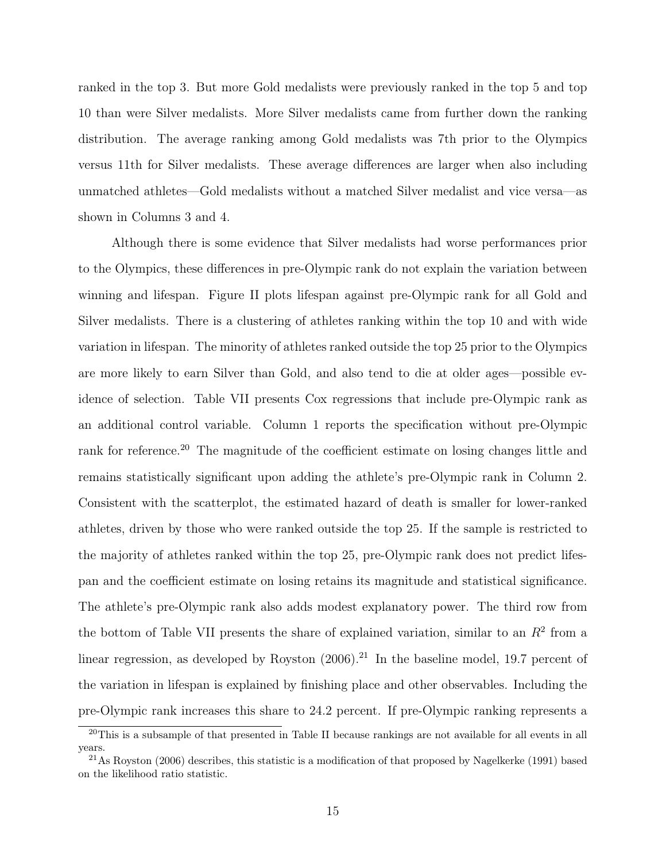ranked in the top 3. But more Gold medalists were previously ranked in the top 5 and top 10 than were Silver medalists. More Silver medalists came from further down the ranking distribution. The average ranking among Gold medalists was 7th prior to the Olympics versus 11th for Silver medalists. These average differences are larger when also including unmatched athletes—Gold medalists without a matched Silver medalist and vice versa—as shown in Columns 3 and 4.

Although there is some evidence that Silver medalists had worse performances prior to the Olympics, these differences in pre-Olympic rank do not explain the variation between winning and lifespan. Figure II plots lifespan against pre-Olympic rank for all Gold and Silver medalists. There is a clustering of athletes ranking within the top 10 and with wide variation in lifespan. The minority of athletes ranked outside the top 25 prior to the Olympics are more likely to earn Silver than Gold, and also tend to die at older ages—possible evidence of selection. Table VII presents Cox regressions that include pre-Olympic rank as an additional control variable. Column 1 reports the specification without pre-Olympic rank for reference.<sup>20</sup> The magnitude of the coefficient estimate on losing changes little and remains statistically significant upon adding the athlete's pre-Olympic rank in Column 2. Consistent with the scatterplot, the estimated hazard of death is smaller for lower-ranked athletes, driven by those who were ranked outside the top 25. If the sample is restricted to the majority of athletes ranked within the top 25, pre-Olympic rank does not predict lifespan and the coefficient estimate on losing retains its magnitude and statistical significance. The athlete's pre-Olympic rank also adds modest explanatory power. The third row from the bottom of Table VII presents the share of explained variation, similar to an  $R<sup>2</sup>$  from a linear regression, as developed by Royston  $(2006)^{21}$  In the baseline model, 19.7 percent of the variation in lifespan is explained by finishing place and other observables. Including the pre-Olympic rank increases this share to 24.2 percent. If pre-Olympic ranking represents a

<sup>&</sup>lt;sup>20</sup>This is a subsample of that presented in Table II because rankings are not available for all events in all years.

 $^{21}$ As Royston (2006) describes, this statistic is a modification of that proposed by Nagelkerke (1991) based on the likelihood ratio statistic.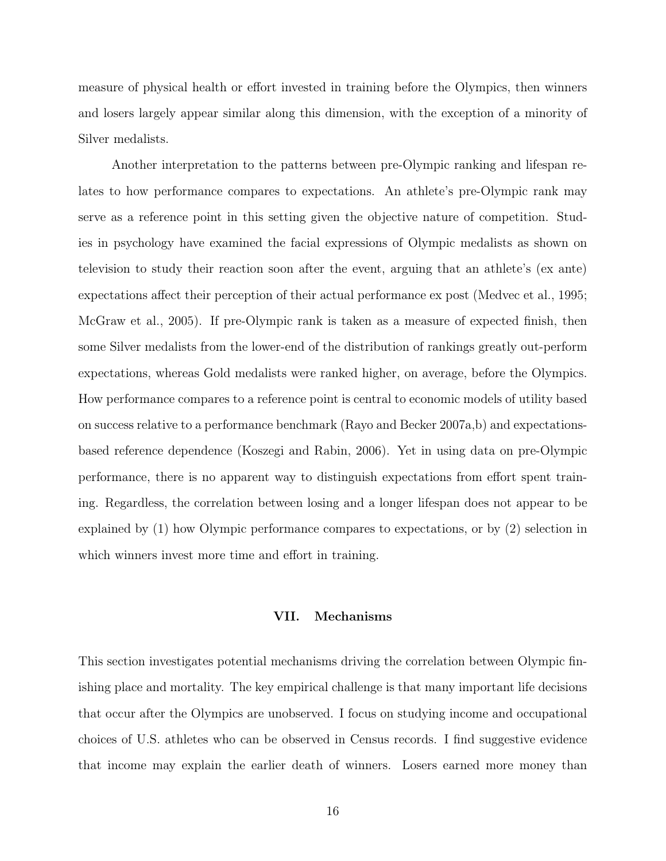measure of physical health or effort invested in training before the Olympics, then winners and losers largely appear similar along this dimension, with the exception of a minority of Silver medalists.

Another interpretation to the patterns between pre-Olympic ranking and lifespan relates to how performance compares to expectations. An athlete's pre-Olympic rank may serve as a reference point in this setting given the objective nature of competition. Studies in psychology have examined the facial expressions of Olympic medalists as shown on television to study their reaction soon after the event, arguing that an athlete's (ex ante) expectations affect their perception of their actual performance ex post (Medvec et al., 1995; McGraw et al., 2005). If pre-Olympic rank is taken as a measure of expected finish, then some Silver medalists from the lower-end of the distribution of rankings greatly out-perform expectations, whereas Gold medalists were ranked higher, on average, before the Olympics. How performance compares to a reference point is central to economic models of utility based on success relative to a performance benchmark (Rayo and Becker 2007a,b) and expectationsbased reference dependence (Koszegi and Rabin, 2006). Yet in using data on pre-Olympic performance, there is no apparent way to distinguish expectations from effort spent training. Regardless, the correlation between losing and a longer lifespan does not appear to be explained by (1) how Olympic performance compares to expectations, or by (2) selection in which winners invest more time and effort in training.

# VII. Mechanisms

This section investigates potential mechanisms driving the correlation between Olympic finishing place and mortality. The key empirical challenge is that many important life decisions that occur after the Olympics are unobserved. I focus on studying income and occupational choices of U.S. athletes who can be observed in Census records. I find suggestive evidence that income may explain the earlier death of winners. Losers earned more money than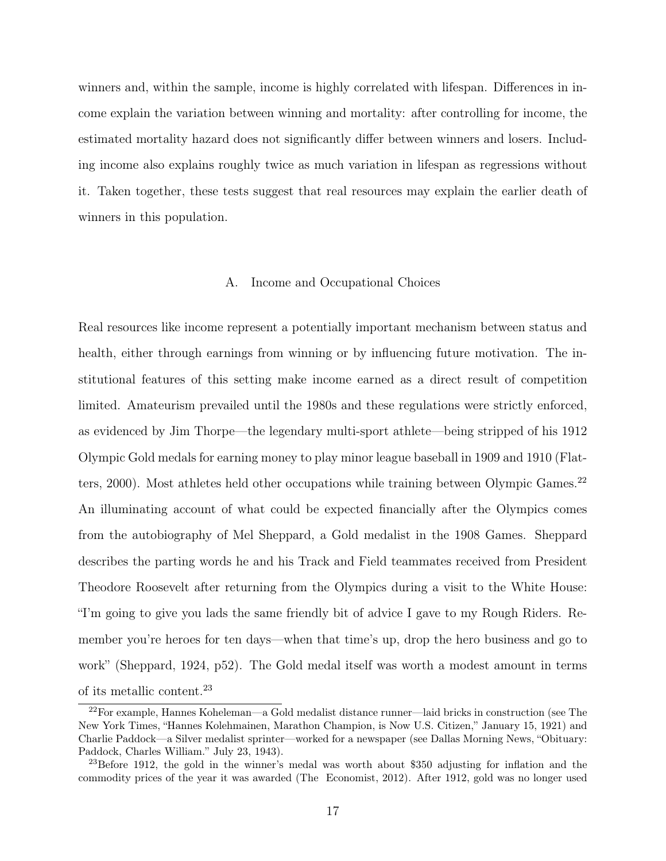winners and, within the sample, income is highly correlated with lifespan. Differences in income explain the variation between winning and mortality: after controlling for income, the estimated mortality hazard does not significantly differ between winners and losers. Including income also explains roughly twice as much variation in lifespan as regressions without it. Taken together, these tests suggest that real resources may explain the earlier death of winners in this population.

# A. Income and Occupational Choices

Real resources like income represent a potentially important mechanism between status and health, either through earnings from winning or by influencing future motivation. The institutional features of this setting make income earned as a direct result of competition limited. Amateurism prevailed until the 1980s and these regulations were strictly enforced, as evidenced by Jim Thorpe—the legendary multi-sport athlete—being stripped of his 1912 Olympic Gold medals for earning money to play minor league baseball in 1909 and 1910 (Flatters, 2000). Most athletes held other occupations while training between Olympic Games.<sup>22</sup> An illuminating account of what could be expected financially after the Olympics comes from the autobiography of Mel Sheppard, a Gold medalist in the 1908 Games. Sheppard describes the parting words he and his Track and Field teammates received from President Theodore Roosevelt after returning from the Olympics during a visit to the White House: "I'm going to give you lads the same friendly bit of advice I gave to my Rough Riders. Remember you're heroes for ten days—when that time's up, drop the hero business and go to work" (Sheppard, 1924, p52). The Gold medal itself was worth a modest amount in terms of its metallic content.<sup>23</sup>

<sup>22</sup>For example, Hannes Koheleman—a Gold medalist distance runner—laid bricks in construction (see The New York Times, "Hannes Kolehmainen, Marathon Champion, is Now U.S. Citizen," January 15, 1921) and Charlie Paddock—a Silver medalist sprinter—worked for a newspaper (see Dallas Morning News, "Obituary: Paddock, Charles William." July 23, 1943).

 $^{23}$ Before 1912, the gold in the winner's medal was worth about \$350 adjusting for inflation and the commodity prices of the year it was awarded (The Economist, 2012). After 1912, gold was no longer used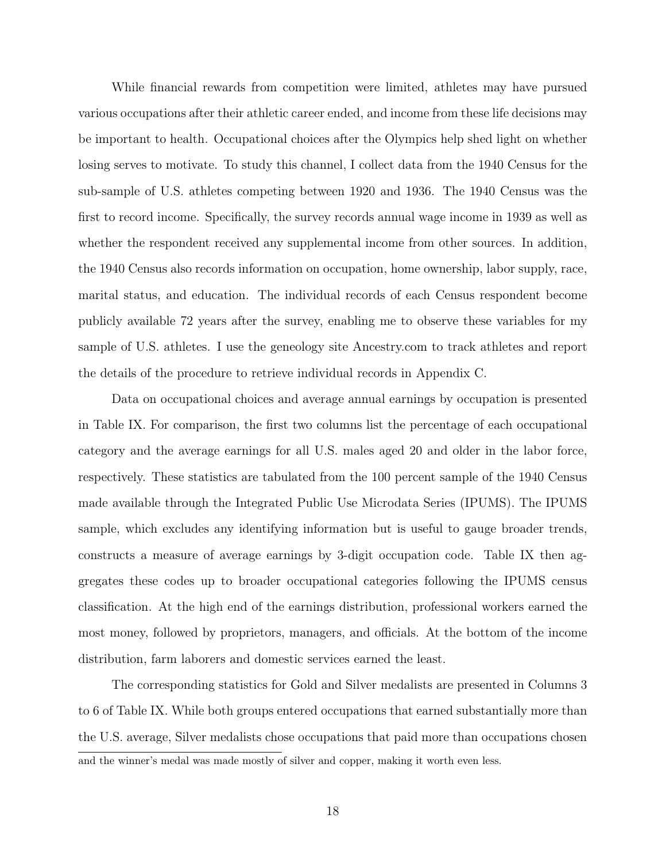While financial rewards from competition were limited, athletes may have pursued various occupations after their athletic career ended, and income from these life decisions may be important to health. Occupational choices after the Olympics help shed light on whether losing serves to motivate. To study this channel, I collect data from the 1940 Census for the sub-sample of U.S. athletes competing between 1920 and 1936. The 1940 Census was the first to record income. Specifically, the survey records annual wage income in 1939 as well as whether the respondent received any supplemental income from other sources. In addition, the 1940 Census also records information on occupation, home ownership, labor supply, race, marital status, and education. The individual records of each Census respondent become publicly available 72 years after the survey, enabling me to observe these variables for my sample of U.S. athletes. I use the geneology site Ancestry.com to track athletes and report the details of the procedure to retrieve individual records in Appendix C.

Data on occupational choices and average annual earnings by occupation is presented in Table IX. For comparison, the first two columns list the percentage of each occupational category and the average earnings for all U.S. males aged 20 and older in the labor force, respectively. These statistics are tabulated from the 100 percent sample of the 1940 Census made available through the Integrated Public Use Microdata Series (IPUMS). The IPUMS sample, which excludes any identifying information but is useful to gauge broader trends, constructs a measure of average earnings by 3-digit occupation code. Table IX then aggregates these codes up to broader occupational categories following the IPUMS census classification. At the high end of the earnings distribution, professional workers earned the most money, followed by proprietors, managers, and officials. At the bottom of the income distribution, farm laborers and domestic services earned the least.

The corresponding statistics for Gold and Silver medalists are presented in Columns 3 to 6 of Table IX. While both groups entered occupations that earned substantially more than the U.S. average, Silver medalists chose occupations that paid more than occupations chosen and the winner's medal was made mostly of silver and copper, making it worth even less.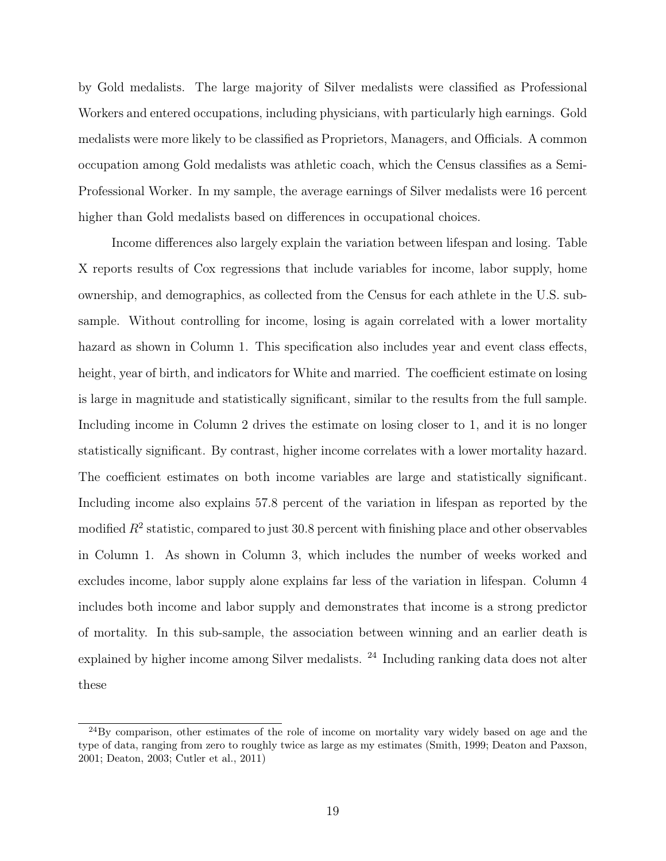by Gold medalists. The large majority of Silver medalists were classified as Professional Workers and entered occupations, including physicians, with particularly high earnings. Gold medalists were more likely to be classified as Proprietors, Managers, and Officials. A common occupation among Gold medalists was athletic coach, which the Census classifies as a Semi-Professional Worker. In my sample, the average earnings of Silver medalists were 16 percent higher than Gold medalists based on differences in occupational choices.

Income differences also largely explain the variation between lifespan and losing. Table X reports results of Cox regressions that include variables for income, labor supply, home ownership, and demographics, as collected from the Census for each athlete in the U.S. subsample. Without controlling for income, losing is again correlated with a lower mortality hazard as shown in Column 1. This specification also includes year and event class effects, height, year of birth, and indicators for White and married. The coefficient estimate on losing is large in magnitude and statistically significant, similar to the results from the full sample. Including income in Column 2 drives the estimate on losing closer to 1, and it is no longer statistically significant. By contrast, higher income correlates with a lower mortality hazard. The coefficient estimates on both income variables are large and statistically significant. Including income also explains 57.8 percent of the variation in lifespan as reported by the modified  $R^2$  statistic, compared to just 30.8 percent with finishing place and other observables in Column 1. As shown in Column 3, which includes the number of weeks worked and excludes income, labor supply alone explains far less of the variation in lifespan. Column 4 includes both income and labor supply and demonstrates that income is a strong predictor of mortality. In this sub-sample, the association between winning and an earlier death is explained by higher income among Silver medalists. <sup>24</sup> Including ranking data does not alter these

 $^{24}$ By comparison, other estimates of the role of income on mortality vary widely based on age and the type of data, ranging from zero to roughly twice as large as my estimates (Smith, 1999; Deaton and Paxson, 2001; Deaton, 2003; Cutler et al., 2011)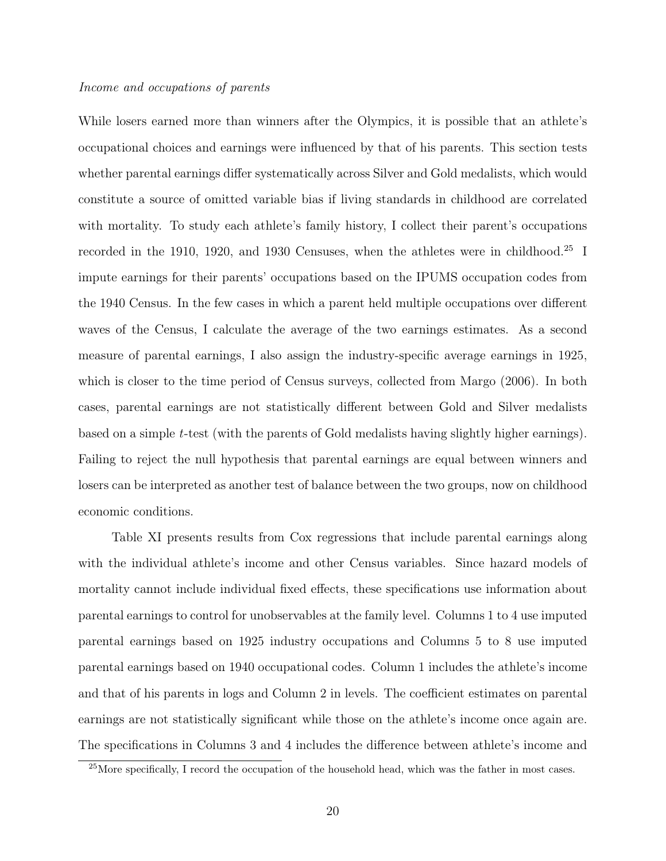# *Income and occupations of parents*

While losers earned more than winners after the Olympics, it is possible that an athlete's occupational choices and earnings were influenced by that of his parents. This section tests whether parental earnings differ systematically across Silver and Gold medalists, which would constitute a source of omitted variable bias if living standards in childhood are correlated with mortality. To study each athlete's family history, I collect their parent's occupations recorded in the 1910, 1920, and 1930 Censuses, when the athletes were in childhood.<sup>25</sup> I impute earnings for their parents' occupations based on the IPUMS occupation codes from the 1940 Census. In the few cases in which a parent held multiple occupations over different waves of the Census, I calculate the average of the two earnings estimates. As a second measure of parental earnings, I also assign the industry-specific average earnings in 1925, which is closer to the time period of Census surveys, collected from Margo (2006). In both cases, parental earnings are not statistically different between Gold and Silver medalists based on a simple *t*-test (with the parents of Gold medalists having slightly higher earnings). Failing to reject the null hypothesis that parental earnings are equal between winners and losers can be interpreted as another test of balance between the two groups, now on childhood economic conditions.

Table XI presents results from Cox regressions that include parental earnings along with the individual athlete's income and other Census variables. Since hazard models of mortality cannot include individual fixed effects, these specifications use information about parental earnings to control for unobservables at the family level. Columns 1 to 4 use imputed parental earnings based on 1925 industry occupations and Columns 5 to 8 use imputed parental earnings based on 1940 occupational codes. Column 1 includes the athlete's income and that of his parents in logs and Column 2 in levels. The coefficient estimates on parental earnings are not statistically significant while those on the athlete's income once again are. The specifications in Columns 3 and 4 includes the difference between athlete's income and

 $^{25}$ More specifically, I record the occupation of the household head, which was the father in most cases.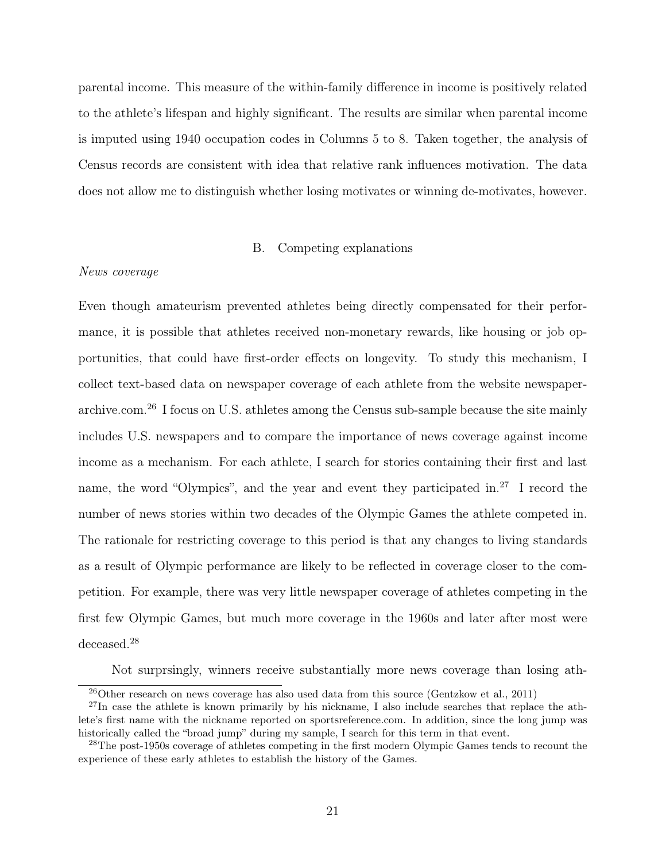parental income. This measure of the within-family difference in income is positively related to the athlete's lifespan and highly significant. The results are similar when parental income is imputed using 1940 occupation codes in Columns 5 to 8. Taken together, the analysis of Census records are consistent with idea that relative rank influences motivation. The data does not allow me to distinguish whether losing motivates or winning de-motivates, however.

# B. Competing explanations

# *News coverage*

Even though amateurism prevented athletes being directly compensated for their performance, it is possible that athletes received non-monetary rewards, like housing or job opportunities, that could have first-order effects on longevity. To study this mechanism, I collect text-based data on newspaper coverage of each athlete from the website newspaperarchive.com.<sup>26</sup> I focus on U.S. athletes among the Census sub-sample because the site mainly includes U.S. newspapers and to compare the importance of news coverage against income income as a mechanism. For each athlete, I search for stories containing their first and last name, the word "Olympics", and the year and event they participated in.<sup>27</sup> I record the number of news stories within two decades of the Olympic Games the athlete competed in. The rationale for restricting coverage to this period is that any changes to living standards as a result of Olympic performance are likely to be reflected in coverage closer to the competition. For example, there was very little newspaper coverage of athletes competing in the first few Olympic Games, but much more coverage in the 1960s and later after most were deceased.<sup>28</sup>

Not surprsingly, winners receive substantially more news coverage than losing ath-

 $^{26}$ Other research on news coverage has also used data from this source (Gentzkow et al., 2011)

 $^{27}$ In case the athlete is known primarily by his nickname, I also include searches that replace the athlete's first name with the nickname reported on sportsreference.com. In addition, since the long jump was historically called the "broad jump" during my sample, I search for this term in that event.

<sup>&</sup>lt;sup>28</sup>The post-1950s coverage of athletes competing in the first modern Olympic Games tends to recount the experience of these early athletes to establish the history of the Games.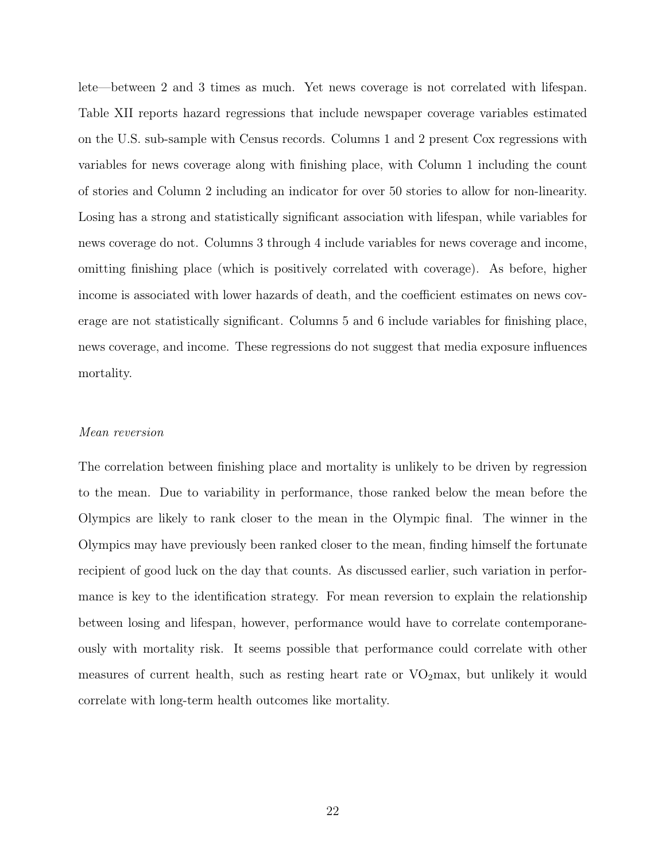lete—between 2 and 3 times as much. Yet news coverage is not correlated with lifespan. Table XII reports hazard regressions that include newspaper coverage variables estimated on the U.S. sub-sample with Census records. Columns 1 and 2 present Cox regressions with variables for news coverage along with finishing place, with Column 1 including the count of stories and Column 2 including an indicator for over 50 stories to allow for non-linearity. Losing has a strong and statistically significant association with lifespan, while variables for news coverage do not. Columns 3 through 4 include variables for news coverage and income, omitting finishing place (which is positively correlated with coverage). As before, higher income is associated with lower hazards of death, and the coefficient estimates on news coverage are not statistically significant. Columns 5 and 6 include variables for finishing place, news coverage, and income. These regressions do not suggest that media exposure influences mortality.

# *Mean reversion*

The correlation between finishing place and mortality is unlikely to be driven by regression to the mean. Due to variability in performance, those ranked below the mean before the Olympics are likely to rank closer to the mean in the Olympic final. The winner in the Olympics may have previously been ranked closer to the mean, finding himself the fortunate recipient of good luck on the day that counts. As discussed earlier, such variation in performance is key to the identification strategy. For mean reversion to explain the relationship between losing and lifespan, however, performance would have to correlate contemporaneously with mortality risk. It seems possible that performance could correlate with other measures of current health, such as resting heart rate or  $VO<sub>2</sub>$  max, but unlikely it would correlate with long-term health outcomes like mortality.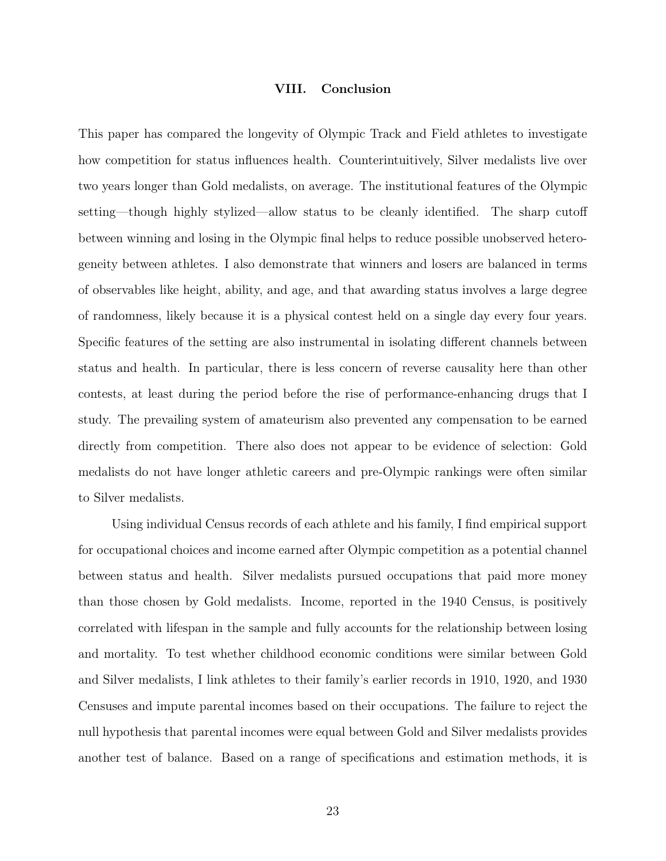# VIII. Conclusion

This paper has compared the longevity of Olympic Track and Field athletes to investigate how competition for status influences health. Counterintuitively, Silver medalists live over two years longer than Gold medalists, on average. The institutional features of the Olympic setting—though highly stylized—allow status to be cleanly identified. The sharp cutoff between winning and losing in the Olympic final helps to reduce possible unobserved heterogeneity between athletes. I also demonstrate that winners and losers are balanced in terms of observables like height, ability, and age, and that awarding status involves a large degree of randomness, likely because it is a physical contest held on a single day every four years. Specific features of the setting are also instrumental in isolating different channels between status and health. In particular, there is less concern of reverse causality here than other contests, at least during the period before the rise of performance-enhancing drugs that I study. The prevailing system of amateurism also prevented any compensation to be earned directly from competition. There also does not appear to be evidence of selection: Gold medalists do not have longer athletic careers and pre-Olympic rankings were often similar to Silver medalists.

Using individual Census records of each athlete and his family, I find empirical support for occupational choices and income earned after Olympic competition as a potential channel between status and health. Silver medalists pursued occupations that paid more money than those chosen by Gold medalists. Income, reported in the 1940 Census, is positively correlated with lifespan in the sample and fully accounts for the relationship between losing and mortality. To test whether childhood economic conditions were similar between Gold and Silver medalists, I link athletes to their family's earlier records in 1910, 1920, and 1930 Censuses and impute parental incomes based on their occupations. The failure to reject the null hypothesis that parental incomes were equal between Gold and Silver medalists provides another test of balance. Based on a range of specifications and estimation methods, it is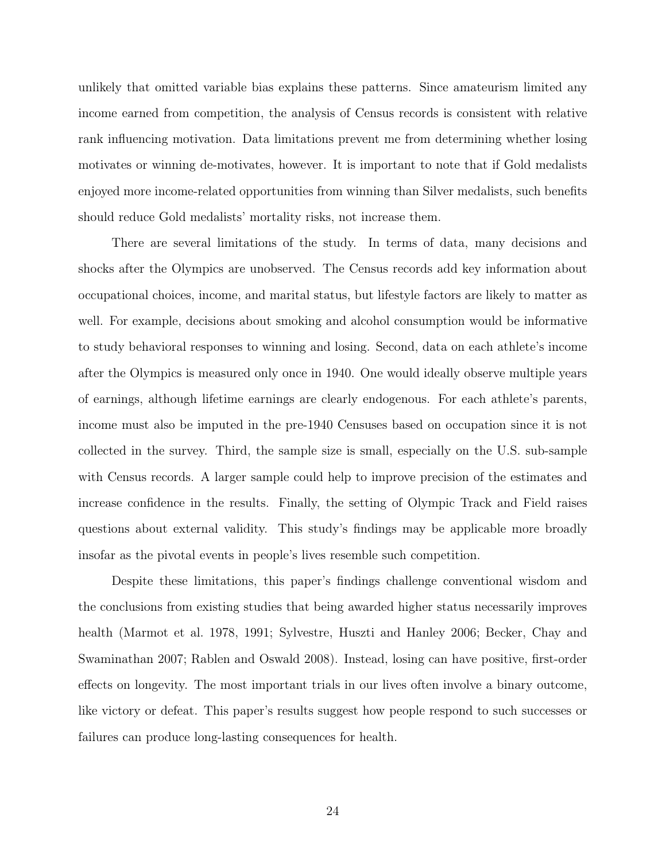unlikely that omitted variable bias explains these patterns. Since amateurism limited any income earned from competition, the analysis of Census records is consistent with relative rank influencing motivation. Data limitations prevent me from determining whether losing motivates or winning de-motivates, however. It is important to note that if Gold medalists enjoyed more income-related opportunities from winning than Silver medalists, such benefits should reduce Gold medalists' mortality risks, not increase them.

There are several limitations of the study. In terms of data, many decisions and shocks after the Olympics are unobserved. The Census records add key information about occupational choices, income, and marital status, but lifestyle factors are likely to matter as well. For example, decisions about smoking and alcohol consumption would be informative to study behavioral responses to winning and losing. Second, data on each athlete's income after the Olympics is measured only once in 1940. One would ideally observe multiple years of earnings, although lifetime earnings are clearly endogenous. For each athlete's parents, income must also be imputed in the pre-1940 Censuses based on occupation since it is not collected in the survey. Third, the sample size is small, especially on the U.S. sub-sample with Census records. A larger sample could help to improve precision of the estimates and increase confidence in the results. Finally, the setting of Olympic Track and Field raises questions about external validity. This study's findings may be applicable more broadly insofar as the pivotal events in people's lives resemble such competition.

Despite these limitations, this paper's findings challenge conventional wisdom and the conclusions from existing studies that being awarded higher status necessarily improves health (Marmot et al. 1978, 1991; Sylvestre, Huszti and Hanley 2006; Becker, Chay and Swaminathan 2007; Rablen and Oswald 2008). Instead, losing can have positive, first-order effects on longevity. The most important trials in our lives often involve a binary outcome, like victory or defeat. This paper's results suggest how people respond to such successes or failures can produce long-lasting consequences for health.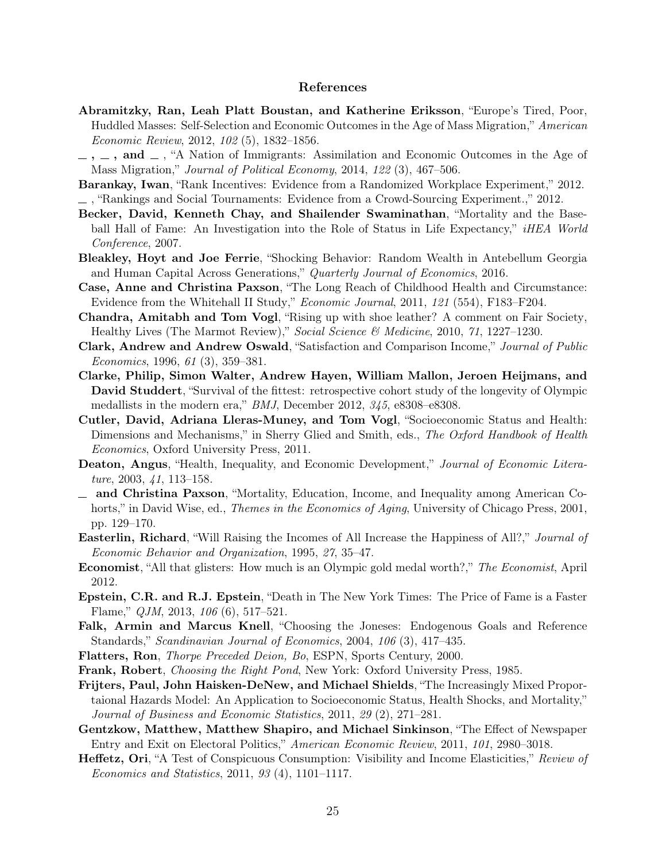#### References

- Abramitzky, Ran, Leah Platt Boustan, and Katherine Eriksson, "Europe's Tired, Poor, Huddled Masses: Self-Selection and Economic Outcomes in the Age of Mass Migration," *American Economic Review*, 2012, *102* (5), 1832–1856.
- $-$ ,  $-$ , and  $-$ , "A Nation of Immigrants: Assimilation and Economic Outcomes in the Age of Mass Migration," *Journal of Political Economy*, 2014, *122* (3), 467–506.
- Barankay, Iwan, "Rank Incentives: Evidence from a Randomized Workplace Experiment," 2012. , "Rankings and Social Tournaments: Evidence from a Crowd-Sourcing Experiment.," 2012.
- Becker, David, Kenneth Chay, and Shailender Swaminathan, "Mortality and the Baseball Hall of Fame: An Investigation into the Role of Status in Life Expectancy," *iHEA World Conference*, 2007.
- Bleakley, Hoyt and Joe Ferrie, "Shocking Behavior: Random Wealth in Antebellum Georgia and Human Capital Across Generations," *Quarterly Journal of Economics*, 2016.
- Case, Anne and Christina Paxson, "The Long Reach of Childhood Health and Circumstance: Evidence from the Whitehall II Study," *Economic Journal*, 2011, *121* (554), F183–F204.
- Chandra, Amitabh and Tom Vogl, "Rising up with shoe leather? A comment on Fair Society, Healthy Lives (The Marmot Review)," *Social Science & Medicine*, 2010, *71*, 1227–1230.
- Clark, Andrew and Andrew Oswald, "Satisfaction and Comparison Income," *Journal of Public Economics*, 1996, *61* (3), 359–381.
- Clarke, Philip, Simon Walter, Andrew Hayen, William Mallon, Jeroen Heijmans, and David Studdert, "Survival of the fittest: retrospective cohort study of the longevity of Olympic medallists in the modern era," *BMJ*, December 2012, *345*, e8308–e8308.
- Cutler, David, Adriana Lleras-Muney, and Tom Vogl, "Socioeconomic Status and Health: Dimensions and Mechanisms," in Sherry Glied and Smith, eds., *The Oxford Handbook of Health Economics*, Oxford University Press, 2011.
- Deaton, Angus, "Health, Inequality, and Economic Development," *Journal of Economic Literature*, 2003, *41*, 113–158.
- and Christina Paxson, "Mortality, Education, Income, and Inequality among American Cohorts," in David Wise, ed., *Themes in the Economics of Aging*, University of Chicago Press, 2001, pp. 129–170.
- Easterlin, Richard, "Will Raising the Incomes of All Increase the Happiness of All?," *Journal of Economic Behavior and Organization*, 1995, *27*, 35–47.
- Economist, "All that glisters: How much is an Olympic gold medal worth?," *The Economist*, April 2012.
- Epstein, C.R. and R.J. Epstein, "Death in The New York Times: The Price of Fame is a Faster Flame," *QJM*, 2013, *106* (6), 517–521.
- Falk, Armin and Marcus Knell, "Choosing the Joneses: Endogenous Goals and Reference Standards," *Scandinavian Journal of Economics*, 2004, *106* (3), 417–435.
- Flatters, Ron, *Thorpe Preceded Deion, Bo*, ESPN, Sports Century, 2000.
- Frank, Robert, *Choosing the Right Pond*, New York: Oxford University Press, 1985.
- Frijters, Paul, John Haisken-DeNew, and Michael Shields, "The Increasingly Mixed Proportaional Hazards Model: An Application to Socioeconomic Status, Health Shocks, and Mortality," *Journal of Business and Economic Statistics*, 2011, *29* (2), 271–281.
- Gentzkow, Matthew, Matthew Shapiro, and Michael Sinkinson, "The Effect of Newspaper Entry and Exit on Electoral Politics," *American Economic Review*, 2011, *101*, 2980–3018.
- Heffetz, Ori, "A Test of Conspicuous Consumption: Visibility and Income Elasticities," *Review of Economics and Statistics*, 2011, *93* (4), 1101–1117.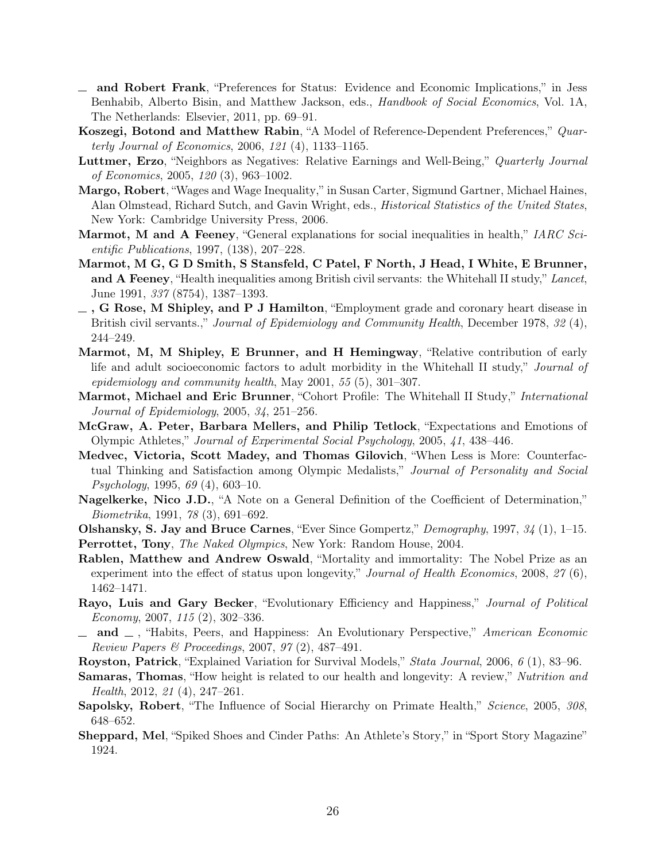- and Robert Frank, "Preferences for Status: Evidence and Economic Implications," in Jess Benhabib, Alberto Bisin, and Matthew Jackson, eds., *Handbook of Social Economics*, Vol. 1A, The Netherlands: Elsevier, 2011, pp. 69–91.
- Koszegi, Botond and Matthew Rabin, "A Model of Reference-Dependent Preferences," *Quarterly Journal of Economics*, 2006, *121* (4), 1133–1165.
- Luttmer, Erzo, "Neighbors as Negatives: Relative Earnings and Well-Being," *Quarterly Journal of Economics*, 2005, *120* (3), 963–1002.
- Margo, Robert, "Wages and Wage Inequality," in Susan Carter, Sigmund Gartner, Michael Haines, Alan Olmstead, Richard Sutch, and Gavin Wright, eds., *Historical Statistics of the United States*, New York: Cambridge University Press, 2006.
- Marmot, M and A Feeney, "General explanations for social inequalities in health," *IARC Scientific Publications*, 1997, (138), 207–228.
- Marmot, M G, G D Smith, S Stansfeld, C Patel, F North, J Head, I White, E Brunner, and A Feeney, "Health inequalities among British civil servants: the Whitehall II study," *Lancet*, June 1991, *337* (8754), 1387–1393.
- $\equiv$ , G Rose, M Shipley, and P J Hamilton, "Employment grade and coronary heart disease in British civil servants.," *Journal of Epidemiology and Community Health*, December 1978, *32* (4), 244–249.
- Marmot, M, M Shipley, E Brunner, and H Hemingway, "Relative contribution of early life and adult socioeconomic factors to adult morbidity in the Whitehall II study," *Journal of epidemiology and community health*, May 2001, *55* (5), 301–307.
- Marmot, Michael and Eric Brunner, "Cohort Profile: The Whitehall II Study," *International Journal of Epidemiology*, 2005, *34*, 251–256.
- McGraw, A. Peter, Barbara Mellers, and Philip Tetlock, "Expectations and Emotions of Olympic Athletes," *Journal of Experimental Social Psychology*, 2005, *41*, 438–446.
- Medvec, Victoria, Scott Madey, and Thomas Gilovich, "When Less is More: Counterfactual Thinking and Satisfaction among Olympic Medalists," *Journal of Personality and Social Psychology*, 1995, *69* (4), 603–10.
- Nagelkerke, Nico J.D., "A Note on a General Definition of the Coefficient of Determination," *Biometrika*, 1991, *78* (3), 691–692.
- Olshansky, S. Jay and Bruce Carnes, "Ever Since Gompertz," *Demography*, 1997, *34* (1), 1–15.
- Perrottet, Tony, *The Naked Olympics*, New York: Random House, 2004.
- Rablen, Matthew and Andrew Oswald, "Mortality and immortality: The Nobel Prize as an experiment into the effect of status upon longevity," *Journal of Health Economics*, 2008, *27* (6), 1462–1471.
- Rayo, Luis and Gary Becker, "Evolutionary Efficiency and Happiness," *Journal of Political Economy*, 2007, *115* (2), 302–336.
- $\Box$  and  $\Box$ , "Habits, Peers, and Happiness: An Evolutionary Perspective," *American Economic Review Papers & Proceedings*, 2007, *97* (2), 487–491.
- Royston, Patrick, "Explained Variation for Survival Models," *Stata Journal*, 2006, *6* (1), 83–96.
- Samaras, Thomas, "How height is related to our health and longevity: A review," *Nutrition and Health*, 2012, *21* (4), 247–261.
- Sapolsky, Robert, "The Influence of Social Hierarchy on Primate Health," *Science*, 2005, *308*, 648–652.
- Sheppard, Mel, "Spiked Shoes and Cinder Paths: An Athlete's Story," in "Sport Story Magazine" 1924.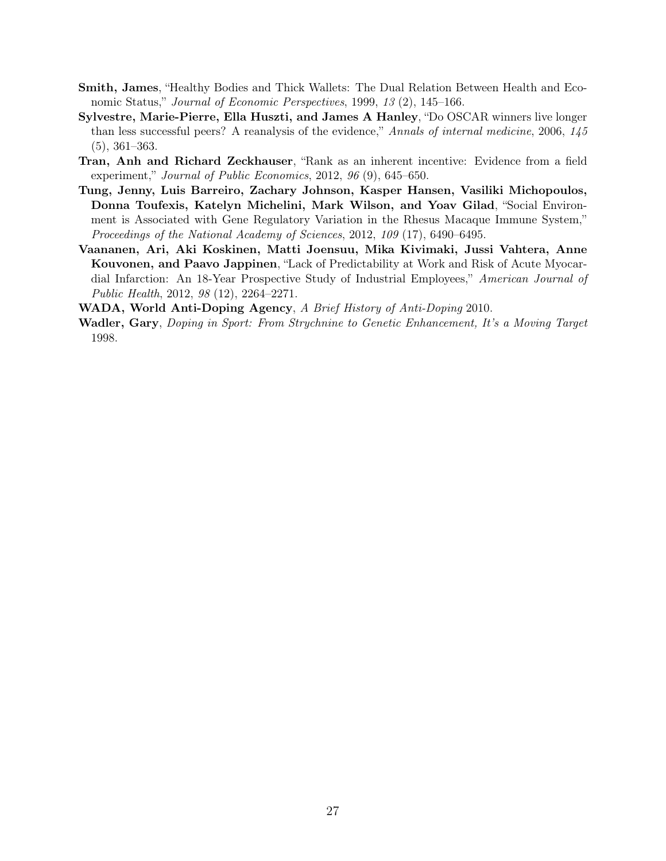- Smith, James, "Healthy Bodies and Thick Wallets: The Dual Relation Between Health and Economic Status," *Journal of Economic Perspectives*, 1999, *13* (2), 145–166.
- Sylvestre, Marie-Pierre, Ella Huszti, and James A Hanley, "Do OSCAR winners live longer than less successful peers? A reanalysis of the evidence," *Annals of internal medicine*, 2006, *145* (5), 361–363.
- Tran, Anh and Richard Zeckhauser, "Rank as an inherent incentive: Evidence from a field experiment," *Journal of Public Economics*, 2012, *96* (9), 645–650.
- Tung, Jenny, Luis Barreiro, Zachary Johnson, Kasper Hansen, Vasiliki Michopoulos, Donna Toufexis, Katelyn Michelini, Mark Wilson, and Yoav Gilad, "Social Environment is Associated with Gene Regulatory Variation in the Rhesus Macaque Immune System," *Proceedings of the National Academy of Sciences*, 2012, *109* (17), 6490–6495.
- Vaananen, Ari, Aki Koskinen, Matti Joensuu, Mika Kivimaki, Jussi Vahtera, Anne Kouvonen, and Paavo Jappinen, "Lack of Predictability at Work and Risk of Acute Myocardial Infarction: An 18-Year Prospective Study of Industrial Employees," *American Journal of Public Health*, 2012, *98* (12), 2264–2271.

WADA, World Anti-Doping Agency, *A Brief History of Anti-Doping* 2010.

Wadler, Gary, *Doping in Sport: From Strychnine to Genetic Enhancement, It's a Moving Target* 1998.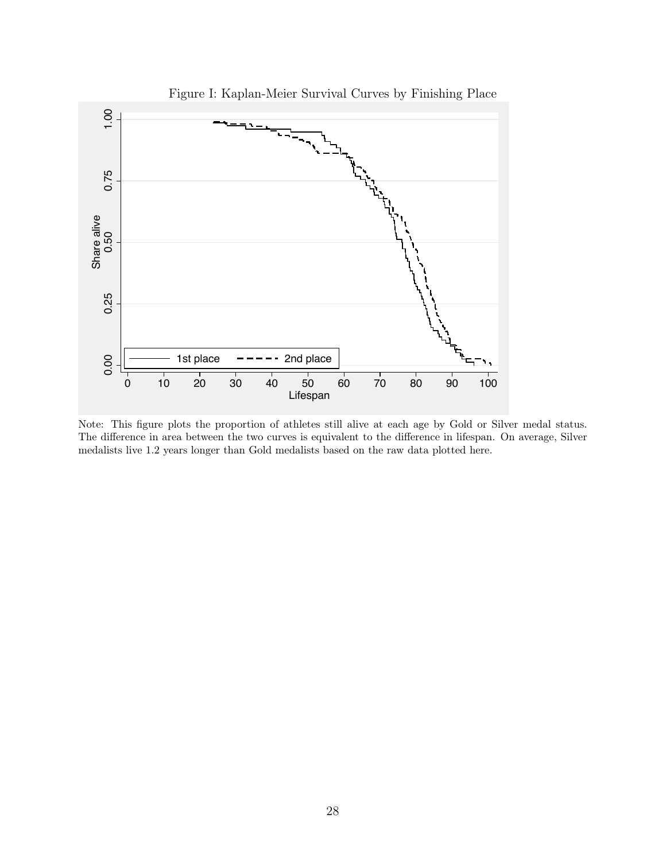

Figure I: Kaplan-Meier Survival Curves by Finishing Place

Note: This figure plots the proportion of athletes still alive at each age by Gold or Silver medal status. The difference in area between the two curves is equivalent to the difference in lifespan. On average, Silver medalists live 1.2 years longer than Gold medalists based on the raw data plotted here.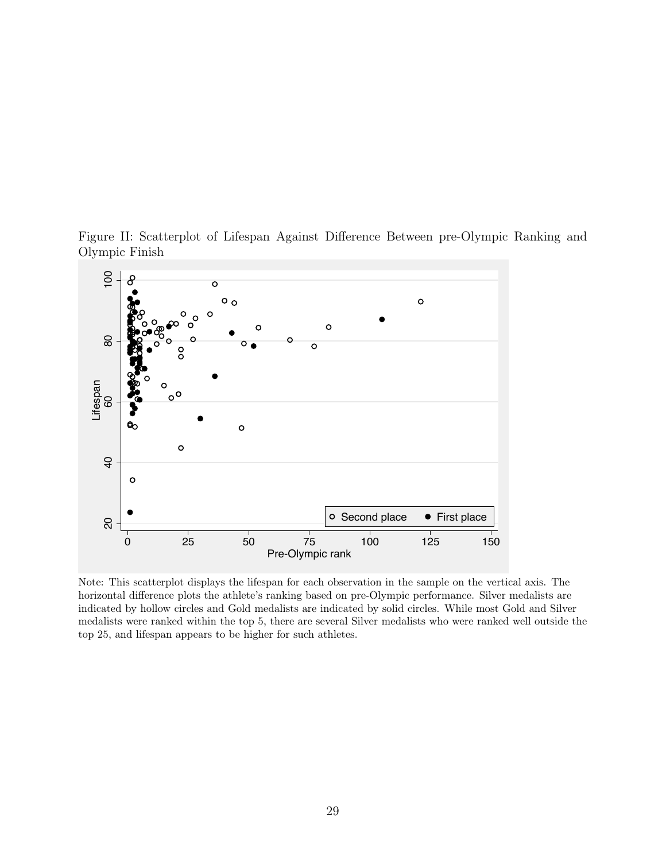

Figure II: Scatterplot of Lifespan Against Difference Between pre-Olympic Ranking and Olympic Finish

Note: This scatterplot displays the lifespan for each observation in the sample on the vertical axis. The horizontal difference plots the athlete's ranking based on pre-Olympic performance. Silver medalists are indicated by hollow circles and Gold medalists are indicated by solid circles. While most Gold and Silver medalists were ranked within the top 5, there are several Silver medalists who were ranked well outside the top 25, and lifespan appears to be higher for such athletes.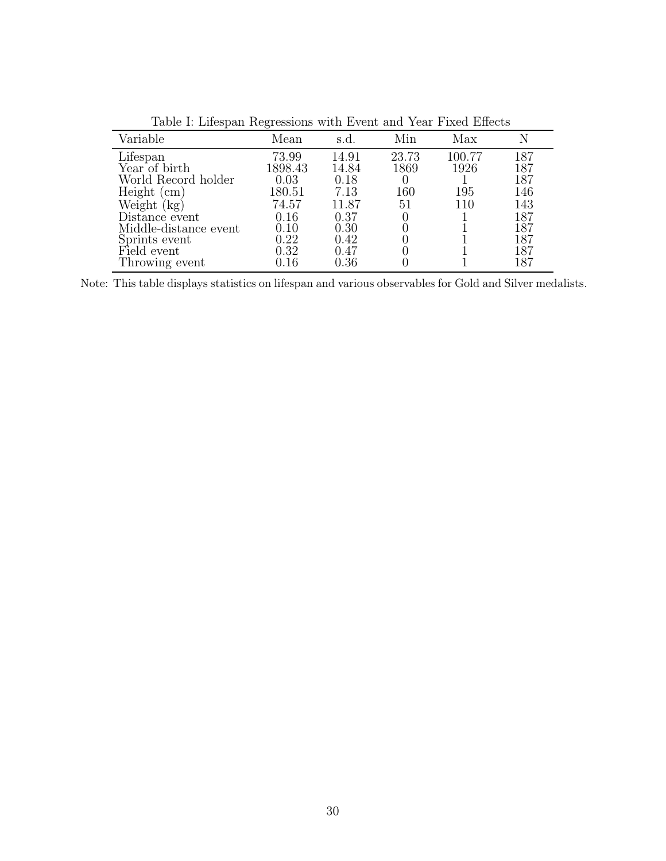| Variable              | Mean       | s.d.  | Min   | Max    | Ν   |
|-----------------------|------------|-------|-------|--------|-----|
| Lifespan              | 73.99      | 14.91 | 23.73 | 100.77 | 187 |
| Year of birth         | 1898.43    | 14.84 | 1869  | 1926   | 187 |
| World Record holder   | 0.03       | 0.18  |       |        | 187 |
| Height<br>(cm)        | 180.51     | 7.13  | 160   | 195    | 146 |
| Weight (<br>(kg)      | 74.57      | 11.87 | 51    | 110    | 143 |
| Distance event        | 0.16       | 0.37  |       |        | 187 |
| Middle-distance event | 0.10       | 0.30  |       |        | 187 |
| Sprints event         | 0.22       | 0.42  |       |        | 187 |
| Field event           | 0.32       | 0.47  |       |        | 187 |
| Throwing event        | $\rm 0.16$ | 0.36  |       |        | 187 |

Table I: Lifespan Regressions with Event and Year Fixed Effects

Note: This table displays statistics on lifespan and various observables for Gold and Silver medalists.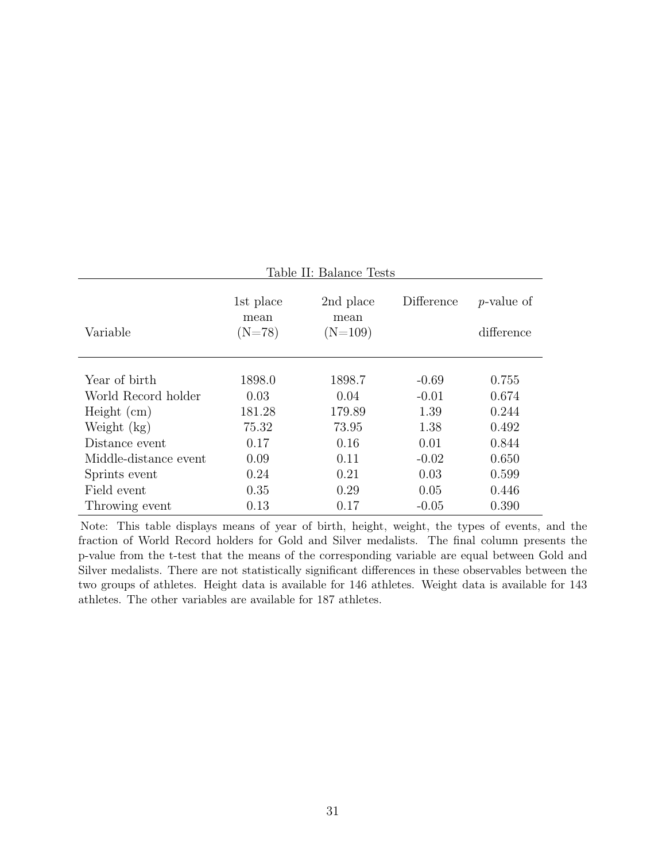| Table II: Balance Tests |                               |                                |            |                             |  |  |  |  |  |  |
|-------------------------|-------------------------------|--------------------------------|------------|-----------------------------|--|--|--|--|--|--|
| Variable                | 1st place<br>mean<br>$(N=78)$ | 2nd place<br>mean<br>$(N=109)$ | Difference | $p$ -value of<br>difference |  |  |  |  |  |  |
| Year of birth           | 1898.0                        | 1898.7                         | $-0.69$    | 0.755                       |  |  |  |  |  |  |
| World Record holder     | 0.03                          | 0.04                           | $-0.01$    | 0.674                       |  |  |  |  |  |  |
| Height (cm)             | 181.28                        | 179.89                         | 1.39       | 0.244                       |  |  |  |  |  |  |
| Weight $(kg)$           | 75.32                         | 73.95                          | 1.38       | 0.492                       |  |  |  |  |  |  |
| Distance event          | 0.17                          | 0.16                           | 0.01       | 0.844                       |  |  |  |  |  |  |
| Middle-distance event   | 0.09                          | 0.11                           | $-0.02$    | 0.650                       |  |  |  |  |  |  |
| Sprints event           | 0.24                          | 0.21                           | 0.03       | 0.599                       |  |  |  |  |  |  |
| Field event             | 0.35                          | 0.29                           | 0.05       | 0.446                       |  |  |  |  |  |  |
| Throwing event          | 0.13                          | 0.17                           | $-0.05$    | 0.390                       |  |  |  |  |  |  |

Note: This table displays means of year of birth, height, weight, the types of events, and the fraction of World Record holders for Gold and Silver medalists. The final column presents the p-value from the t-test that the means of the corresponding variable are equal between Gold and Silver medalists. There are not statistically significant differences in these observables between the two groups of athletes. Height data is available for 146 athletes. Weight data is available for 143 athletes. The other variables are available for 187 athletes.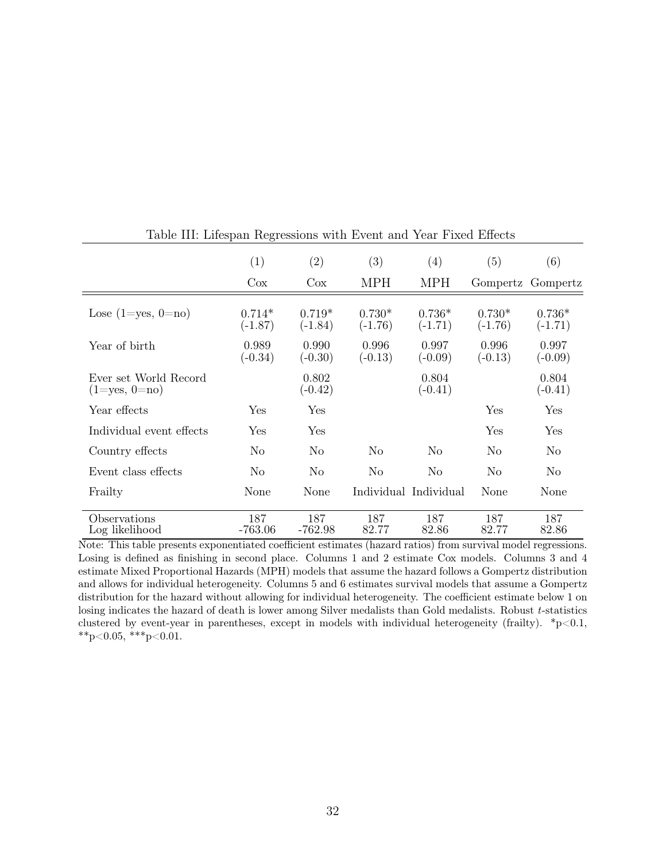|                                              | (1)                   | $\left( 2\right)$     | (3)                   | (4)                   | (5)                   | (6)                   |
|----------------------------------------------|-----------------------|-----------------------|-----------------------|-----------------------|-----------------------|-----------------------|
|                                              | $\cos$                | $\cos$                | <b>MPH</b>            | <b>MPH</b>            |                       | Gompertz Gompertz     |
| Lose $(1 = yes, 0 = no)$                     | $0.714*$<br>$(-1.87)$ | $0.719*$<br>$(-1.84)$ | $0.730*$<br>$(-1.76)$ | $0.736*$<br>$(-1.71)$ | $0.730*$<br>$(-1.76)$ | $0.736*$<br>$(-1.71)$ |
| Year of birth                                | 0.989<br>$(-0.34)$    | 0.990<br>$(-0.30)$    | 0.996<br>$(-0.13)$    | 0.997<br>$(-0.09)$    | 0.996<br>$(-0.13)$    | 0.997<br>$(-0.09)$    |
| Ever set World Record<br>$(1 = yes, 0 = no)$ |                       | 0.802<br>$(-0.42)$    |                       | 0.804<br>$(-0.41)$    |                       | 0.804<br>$(-0.41)$    |
| Year effects                                 | Yes                   | Yes                   |                       |                       | Yes                   | Yes                   |
| Individual event effects                     | Yes                   | Yes                   |                       |                       | Yes                   | Yes                   |
| Country effects                              | N <sub>o</sub>        | No                    | No                    | No                    | N <sub>o</sub>        | N <sub>o</sub>        |
| Event class effects                          | N <sub>o</sub>        | N <sub>o</sub>        | N <sub>o</sub>        | No                    | N <sub>o</sub>        | N <sub>o</sub>        |
| Frailty                                      | None                  | None                  |                       | Individual Individual | None                  | None                  |
| Observations<br>Log likelihood               | 187<br>$-763.06$      | 187<br>$-762.98$      | 187<br>82.77          | 187<br>82.86          | 187<br>82.77          | 187<br>82.86          |

Table III: Lifespan Regressions with Event and Year Fixed Effects

Note: This table presents exponentiated coefficient estimates (hazard ratios) from survival model regressions. Losing is defined as finishing in second place. Columns 1 and 2 estimate Cox models. Columns 3 and 4 estimate Mixed Proportional Hazards (MPH) models that assume the hazard follows a Gompertz distribution and allows for individual heterogeneity. Columns 5 and 6 estimates survival models that assume a Gompertz distribution for the hazard without allowing for individual heterogeneity. The coefficient estimate below 1 on losing indicates the hazard of death is lower among Silver medalists than Gold medalists. Robust *t*-statistics clustered by event-year in parentheses, except in models with individual heterogeneity (frailty).  $*_{p}$  < 0.1,  $^{**}p<0.05,$   $^{***}p<0.01.$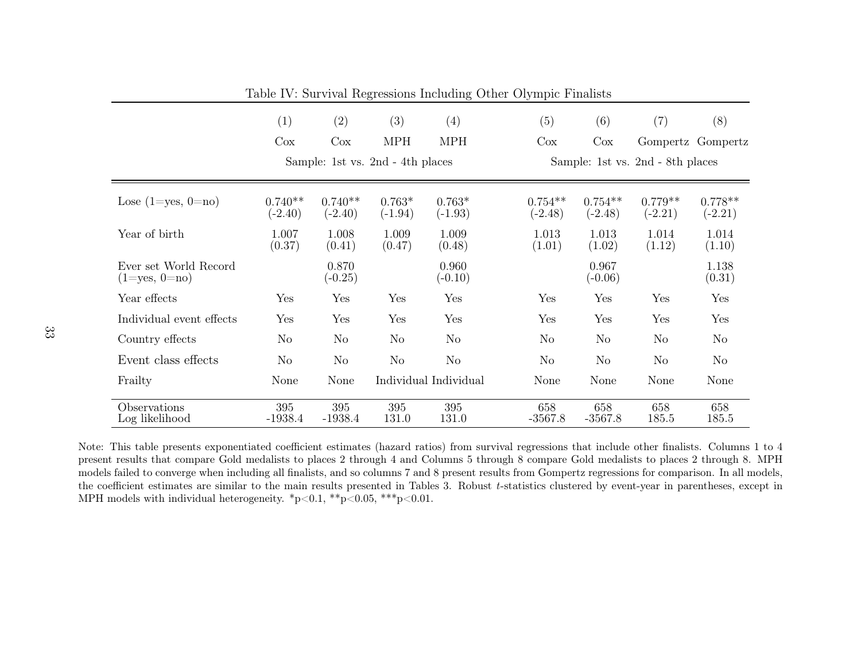|                                              | (1)                              | (2)                    | (3)                   | (4)                   | (5)                    | (6)                              | $\left( 7\right)$      | (8)                    |  |  |
|----------------------------------------------|----------------------------------|------------------------|-----------------------|-----------------------|------------------------|----------------------------------|------------------------|------------------------|--|--|
|                                              | Cox                              | $\cos$                 | <b>MPH</b>            | <b>MPH</b>            | Cox                    | $\cos$                           |                        | Gompertz Gompertz      |  |  |
|                                              | Sample: 1st vs. 2nd - 4th places |                        |                       |                       |                        | Sample: 1st vs. 2nd - 8th places |                        |                        |  |  |
| Lose $(1 = yes, 0 = no)$                     | $0.740**$<br>$(-2.40)$           | $0.740**$<br>$(-2.40)$ | $0.763*$<br>$(-1.94)$ | $0.763*$<br>$(-1.93)$ | $0.754**$<br>$(-2.48)$ | $0.754**$<br>$(-2.48)$           | $0.779**$<br>$(-2.21)$ | $0.778**$<br>$(-2.21)$ |  |  |
| Year of birth                                | 1.007<br>(0.37)                  | 1.008<br>(0.41)        | 1.009<br>(0.47)       | 1.009<br>(0.48)       | 1.013<br>(1.01)        | 1.013<br>(1.02)                  | 1.014<br>(1.12)        | 1.014<br>(1.10)        |  |  |
| Ever set World Record<br>$(1 = yes, 0 = no)$ |                                  | 0.870<br>$(-0.25)$     |                       | 0.960<br>$(-0.10)$    |                        | 0.967<br>$(-0.06)$               |                        | 1.138<br>(0.31)        |  |  |
| Year effects                                 | Yes                              | Yes                    | Yes                   | Yes                   | Yes                    | Yes                              | Yes                    | Yes                    |  |  |
| Individual event effects                     | Yes                              | Yes                    | Yes                   | Yes                   | Yes                    | Yes                              | Yes                    | Yes                    |  |  |
| Country effects                              | No.                              | N <sub>o</sub>         | N <sub>o</sub>        | No                    | N <sub>o</sub>         | N <sub>o</sub>                   | N <sub>o</sub>         | N <sub>o</sub>         |  |  |
| Event class effects                          | No                               | N <sub>o</sub>         | No                    | N <sub>o</sub>        | N <sub>o</sub>         | N <sub>o</sub>                   | $\rm No$               | N <sub>o</sub>         |  |  |
| Frailty                                      | None                             | None                   |                       | Individual Individual | None                   | None                             | None                   | None                   |  |  |
| Observations<br>Log likelihood               | 395<br>$-1938.4$                 | 395<br>$-1938.4$       | 395<br>131.0          | 395<br>131.0          | 658<br>$-3567.8$       | 658<br>$-3567.8$                 | 658<br>185.5           | 658<br>185.5           |  |  |

Table IV: Survival Regressions Including Other Olympic Finalists

Note: This table presents exponentiated coe fficient estimates (hazard ratios) from survival regressions that include other finalists. Columns <sup>1</sup> to <sup>4</sup> present results that compare Gold medalists to <sup>p</sup>laces 2 through 4 and Columns 5 through 8 compare Gold medalists to <sup>p</sup>laces 2 through 8. MPH models failed to converge when including all finalists, and so columns 7 and 8 present results from Gompertz regressions for comparison. In all models, the coe fficient estimates are similar to the main results presented in Tables 3. Robust *<sup>t</sup>*-statistics clustered by event-year in parentheses, except in MPH models with individual heterogeneity.  $\frac{1}{2}p<0.1$ ,  $\frac{1}{2}p<0.05$ ,  $\frac{1}{2}p<0.01$ .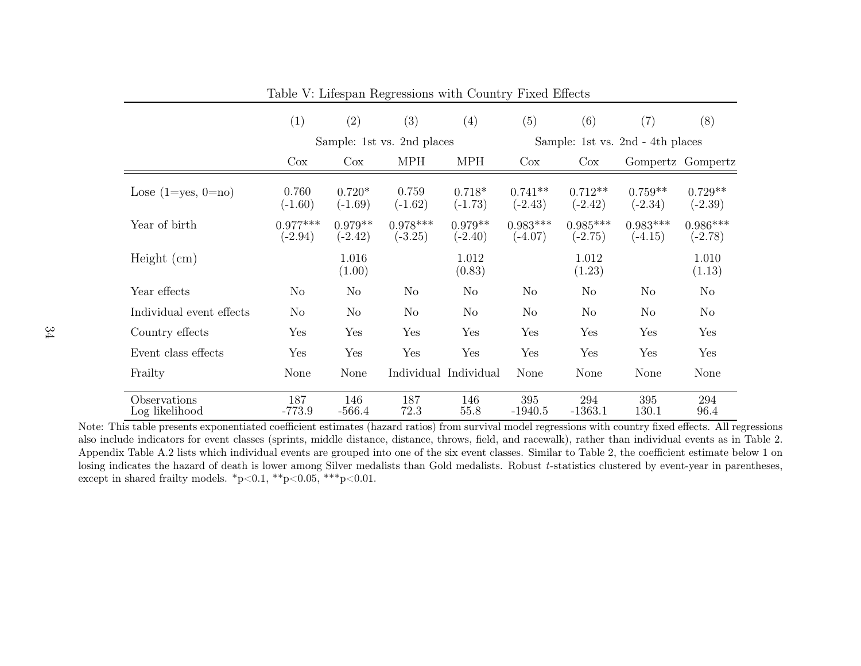|                                | (1)                     | (2)                    | (3)                        | (4)                    | (5)                     | (6)                              | (7)                     | (8)                     |  |
|--------------------------------|-------------------------|------------------------|----------------------------|------------------------|-------------------------|----------------------------------|-------------------------|-------------------------|--|
|                                |                         |                        | Sample: 1st vs. 2nd places |                        |                         | Sample: 1st vs. 2nd - 4th places |                         |                         |  |
|                                | $\cos$                  | $\cos$                 | <b>MPH</b>                 | <b>MPH</b>             | $\cos$                  | $\cos$                           |                         | Gompertz Gompertz       |  |
| Lose $(1 = yes, 0 = no)$       | 0.760<br>$(-1.60)$      | $0.720*$<br>$(-1.69)$  | 0.759<br>$(-1.62)$         | $0.718*$<br>$(-1.73)$  | $0.741**$<br>$(-2.43)$  | $0.712**$<br>$(-2.42)$           | $0.759**$<br>$(-2.34)$  | $0.729**$<br>$(-2.39)$  |  |
| Year of birth                  | $0.977***$<br>$(-2.94)$ | $0.979**$<br>$(-2.42)$ | $0.978***$<br>$(-3.25)$    | $0.979**$<br>$(-2.40)$ | $0.983***$<br>$(-4.07)$ | $0.985***$<br>$(-2.75)$          | $0.983***$<br>$(-4.15)$ | $0.986***$<br>$(-2.78)$ |  |
| Height (cm)                    |                         | 1.016<br>(1.00)        |                            | 1.012<br>(0.83)        |                         | 1.012<br>(1.23)                  |                         | 1.010<br>(1.13)         |  |
| Year effects                   | N <sub>o</sub>          | N <sub>o</sub>         | No                         | No                     | N <sub>o</sub>          | $\rm No$                         | N <sub>o</sub>          | No                      |  |
| Individual event effects       | No                      | N <sub>o</sub>         | $\rm No$                   | N <sub>o</sub>         | N <sub>o</sub>          | $\rm No$                         | N <sub>o</sub>          | No                      |  |
| Country effects                | Yes                     | Yes                    | Yes                        | Yes                    | Yes                     | Yes                              | Yes                     | Yes                     |  |
| Event class effects            | Yes                     | Yes                    | Yes                        | Yes                    | Yes                     | Yes                              | Yes                     | Yes                     |  |
| Frailty                        | None                    | None                   |                            | Individual Individual  | None                    | None                             | None                    | None                    |  |
| Observations<br>Log likelihood | 187<br>$-773.9$         | 146<br>$-566.4$        | 187<br>72.3                | 146<br>55.8            | 395<br>$-1940.5$        | 294<br>$-1363.1$                 | 395<br>130.1            | 294<br>96.4             |  |

Table V: Lifespan Regressions with Country Fixed Effects

Note: This table presents exponentiated coefficient estimates (hazard ratios) from survival model regressions with country fixed <sup>e</sup>ffects. All regressions also include indicators for event classes (sprints, middle distance, distance, throws, field, and racewalk), rather than individual events as in Table 2. Appendix Table A.2 lists which individual events are grouped into one of the six event classes. Similar to Table 2, the coefficient estimate below 1 on losing indicates the hazard of death is lower among Silver medalists than Gold medalists. Robust *<sup>t</sup>*-statistics clustered by event-year in parentheses, except in shared frailty models. \*p<0.1, \*\*p<0.05, \*\*\*p<0.01.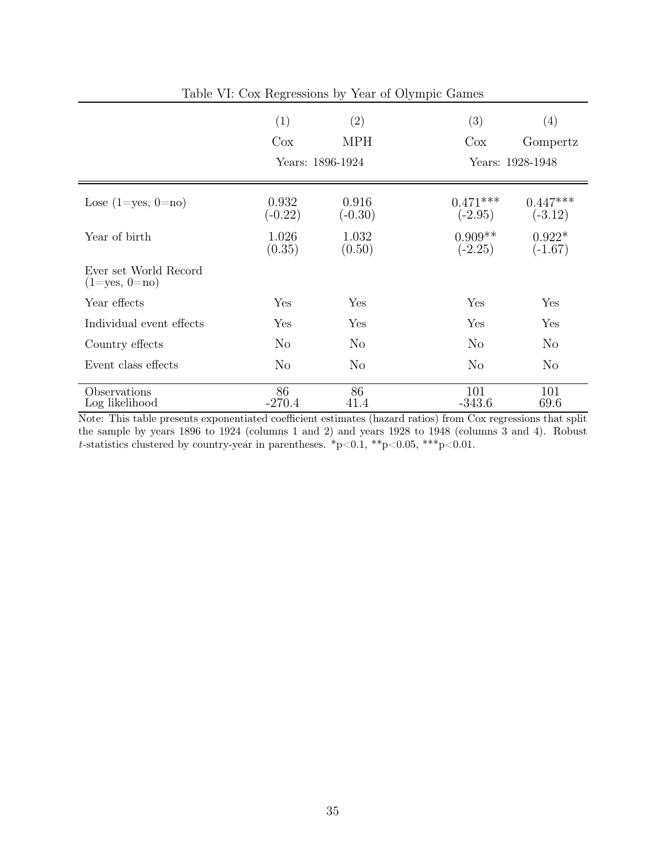| Table VI: Cox Regressions by Year of Olympic Games |                    |                    |                         |                         |  |  |  |  |  |
|----------------------------------------------------|--------------------|--------------------|-------------------------|-------------------------|--|--|--|--|--|
|                                                    | (1)                | (2)                | (3)                     | (4)                     |  |  |  |  |  |
|                                                    | $\cos$             | <b>MPH</b>         | $\cos$                  | Gompertz                |  |  |  |  |  |
|                                                    |                    | Years: 1896-1924   | Years: 1928-1948        |                         |  |  |  |  |  |
| Lose $(1 = yes, 0 = no)$                           | 0.932<br>$(-0.22)$ | 0.916<br>$(-0.30)$ | $0.471***$<br>$(-2.95)$ | $0.447***$<br>$(-3.12)$ |  |  |  |  |  |
| Year of birth                                      | 1.026<br>(0.35)    | 1.032<br>(0.50)    | $0.909**$<br>$(-2.25)$  | $0.922*$<br>$(-1.67)$   |  |  |  |  |  |
| Ever set World Record<br>$(1 = yes, 0 = no)$       |                    |                    |                         |                         |  |  |  |  |  |
| Year effects                                       | Yes                | Yes                | Yes                     | Yes                     |  |  |  |  |  |
| Individual event effects                           | Yes                | Yes                | Yes                     | Yes                     |  |  |  |  |  |
| Country effects                                    | N <sub>o</sub>     | N <sub>o</sub>     | N <sub>o</sub>          | N <sub>o</sub>          |  |  |  |  |  |
| Event class effects                                | N <sub>o</sub>     | N <sub>o</sub>     | No                      | $\rm No$                |  |  |  |  |  |
| Observations<br>Log likelihood                     | 86<br>$-270.4$     | 86<br>41.4         | 101<br>$-343.6$         | 101<br>69.6             |  |  |  |  |  |

Note: This table presents exponentiated coefficient estimates (hazard ratios) from Cox regressions that split the sample by years 1896 to 1924 (columns 1 and 2) and years 1928 to 1948 (columns 3 and 4). Robust *t*-statistics clustered by country-year in parentheses.  $p<0.1$ ,  $*p<0.05$ ,  $**p<0.01$ .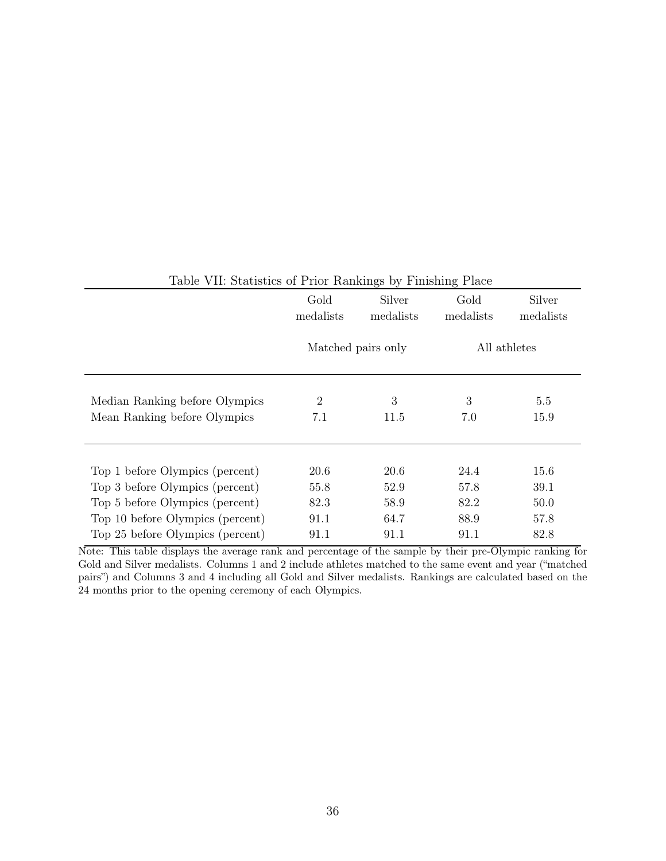|                                                                | Gold<br>Silver<br>medalists<br>medalists |                    | Gold<br>medalists | Silver<br>medalists |  |
|----------------------------------------------------------------|------------------------------------------|--------------------|-------------------|---------------------|--|
|                                                                |                                          | Matched pairs only | All athletes      |                     |  |
| Median Ranking before Olympics<br>Mean Ranking before Olympics | $\overline{2}$<br>7.1                    | 3<br>11.5          | 3<br>7.0          | 5.5<br>15.9         |  |
|                                                                |                                          |                    |                   |                     |  |
| Top 1 before Olympics (percent)                                | 20.6                                     | 20.6               | 24.4              | 15.6                |  |
| Top 3 before Olympics (percent)                                | 55.8                                     | 52.9               | 57.8              | 39.1                |  |
| Top 5 before Olympics (percent)                                | 82.3                                     | 58.9               | 82.2              | 50.0                |  |
| Top 10 before Olympics (percent)                               | 91.1                                     | 64.7               | 88.9              | 57.8                |  |
| Top 25 before Olympics (percent)                               | 91.1                                     | 91.1               | 91.1              | 82.8                |  |

# Table VII: Statistics of Prior Rankings by Finishing Place

Note: This table displays the average rank and percentage of the sample by their pre-Olympic ranking for Gold and Silver medalists. Columns 1 and 2 include athletes matched to the same event and year ("matched pairs") and Columns 3 and 4 including all Gold and Silver medalists. Rankings are calculated based on the 24 months prior to the opening ceremony of each Olympics.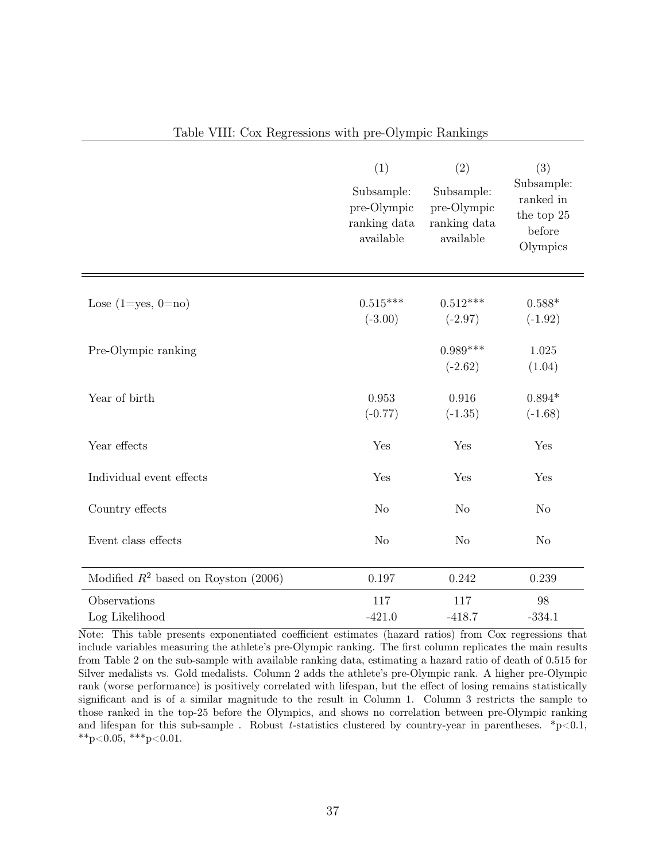|                                        | (1)<br>Subsample:<br>pre-Olympic<br>ranking data<br>available | (2)<br>Subsample:<br>pre-Olympic<br>ranking data<br>available | (3)<br>Subsample:<br>ranked in<br>the top 25<br>before<br>Olympics |
|----------------------------------------|---------------------------------------------------------------|---------------------------------------------------------------|--------------------------------------------------------------------|
| Lose $(1 = yes, 0 = no)$               | $0.515***$<br>$(-3.00)$                                       | $0.512***$<br>$(-2.97)$                                       | $0.588*$<br>$(-1.92)$                                              |
| Pre-Olympic ranking                    |                                                               | $0.989***$<br>$(-2.62)$                                       | 1.025<br>(1.04)                                                    |
| Year of birth                          | 0.953<br>$(-0.77)$                                            | 0.916<br>$(-1.35)$                                            | $0.894*$<br>$(-1.68)$                                              |
| Year effects                           | Yes                                                           | Yes                                                           | Yes                                                                |
| Individual event effects               | Yes                                                           | Yes                                                           | Yes                                                                |
| Country effects                        | N <sub>o</sub>                                                | N <sub>o</sub>                                                | N <sub>o</sub>                                                     |
| Event class effects                    | N <sub>o</sub>                                                | N <sub>o</sub>                                                | N <sub>o</sub>                                                     |
| Modified $R^2$ based on Royston (2006) | 0.197                                                         | 0.242                                                         | 0.239                                                              |
| Observations<br>Log Likelihood         | 117<br>$-421.0$                                               | 117<br>$-418.7$                                               | 98<br>$-334.1$                                                     |

# Table VIII: Cox Regressions with pre-Olympic Rankings

Note: This table presents exponentiated coefficient estimates (hazard ratios) from Cox regressions that include variables measuring the athlete's pre-Olympic ranking. The first column replicates the main results from Table 2 on the sub-sample with available ranking data, estimating a hazard ratio of death of 0.515 for Silver medalists vs. Gold medalists. Column 2 adds the athlete's pre-Olympic rank. A higher pre-Olympic rank (worse performance) is positively correlated with lifespan, but the effect of losing remains statistically significant and is of a similar magnitude to the result in Column 1. Column 3 restricts the sample to those ranked in the top-25 before the Olympics, and shows no correlation between pre-Olympic ranking and lifespan for this sub-sample. Robust *t*-statistics clustered by country-year in parentheses.  $*_{p}$  < 0.1, \*\*p<0.05, \*\*\*p<0.01.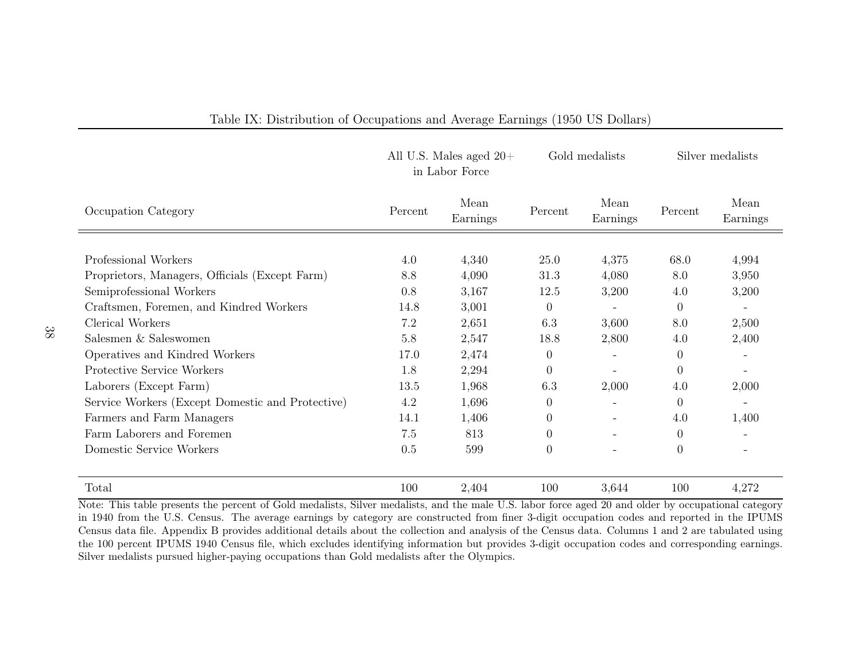|                                                  |         | All U.S. Males aged $20+$<br>in Labor Force | Gold medalists |                  | Silver medalists |                          |
|--------------------------------------------------|---------|---------------------------------------------|----------------|------------------|------------------|--------------------------|
| Occupation Category                              | Percent | Mean<br>Earnings                            | Percent        | Mean<br>Earnings | Percent          | Mean<br>Earnings         |
|                                                  |         |                                             |                |                  |                  |                          |
| Professional Workers                             | 4.0     | 4,340                                       | 25.0           | 4,375            | 68.0             | 4,994                    |
| Proprietors, Managers, Officials (Except Farm)   | 8.8     | 4,090                                       | 31.3           | 4,080            | 8.0              | 3,950                    |
| Semiprofessional Workers                         | 0.8     | 3,167                                       | 12.5           | 3,200            | 4.0              | 3,200                    |
| Craftsmen, Foremen, and Kindred Workers          | 14.8    | 3,001                                       | $\Omega$       |                  | $\Omega$         | $\overline{\phantom{a}}$ |
| Clerical Workers                                 | 7.2     | 2,651                                       | 6.3            | 3,600            | 8.0              | 2,500                    |
| Salesmen & Saleswomen                            | 5.8     | 2,547                                       | 18.8           | 2,800            | 4.0              | 2,400                    |
| Operatives and Kindred Workers                   | 17.0    | 2,474                                       | $\theta$       |                  | $\overline{0}$   | $\overline{\phantom{0}}$ |
| Protective Service Workers                       | 1.8     | 2,294                                       | $\Omega$       |                  | $\overline{0}$   | $\overline{\phantom{0}}$ |
| Laborers (Except Farm)                           | 13.5    | 1,968                                       | 6.3            | 2,000            | 4.0              | 2,000                    |
| Service Workers (Except Domestic and Protective) | 4.2     | 1,696                                       | $\Omega$       |                  | $\Omega$         |                          |
| Farmers and Farm Managers                        | 14.1    | 1,406                                       | $\Omega$       |                  | 4.0              | 1,400                    |
| Farm Laborers and Foremen                        | 7.5     | 813                                         | $\theta$       |                  | $\theta$         | $\overline{\phantom{a}}$ |
| Domestic Service Workers                         | 0.5     | 599                                         | $\Omega$       |                  | $\overline{0}$   |                          |
| Total                                            | 100     | 2,404                                       | 100            | 3,644            | 100              | 4,272                    |

# Table IX: Distribution of Occupations and Average Earnings (1950 US Dollars)

Note: This table presents the percent of Gold medalists, Silver medalists, and the male U.S. labor force aged 20 and older by occupational category in 1940 from the U.S. Census. The average earnings by category are constructed from finer 3-digit occupation codes and reported in the IPUMS Census data file. Appendix B provides additional details about the collection and analysis of the Census data. Columns 1 and 2 are tabulated using the 100 percent IPUMS 1940 Census file, which excludes identifying information but provides 3-digit occupation codes and corresponding earnings. Silver medalists pursued higher-paying occupations than Gold medalists after the Olympics.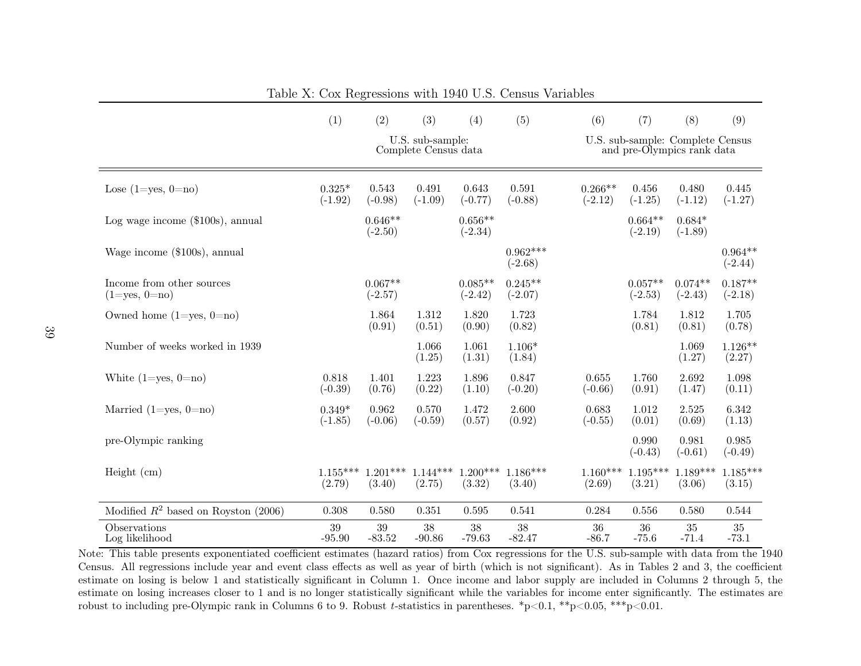|                                                  | (1)                   | (2)                             | (3)                                      | (4)                    | (5)                     | (6)                                                            | (7)                    | (8)                    | (9)                    |
|--------------------------------------------------|-----------------------|---------------------------------|------------------------------------------|------------------------|-------------------------|----------------------------------------------------------------|------------------------|------------------------|------------------------|
|                                                  |                       |                                 | U.S. sub-sample:<br>Complete Census data |                        |                         | U.S. sub-sample: Complete Census<br>and pre-Olympics rank data |                        |                        |                        |
| Lose $(1 = yes, 0 = no)$                         | $0.325*$<br>$(-1.92)$ | 0.543<br>$(-0.98)$              | 0.491<br>$(-1.09)$                       | 0.643<br>$(-0.77)$     | 0.591<br>$(-0.88)$      | $0.266**$<br>$(-2.12)$                                         | 0.456<br>$(-1.25)$     | 0.480<br>$(-1.12)$     | 0.445<br>$(-1.27)$     |
| Log wage income $(\$100s)$ , annual              |                       | $0.646**$<br>$(-2.50)$          |                                          | $0.656**$<br>$(-2.34)$ |                         |                                                                | $0.664**$<br>$(-2.19)$ | $0.684*$<br>$(-1.89)$  |                        |
| Wage income (\$100s), annual                     |                       |                                 |                                          |                        | $0.962***$<br>$(-2.68)$ |                                                                |                        |                        | $0.964**$<br>$(-2.44)$ |
| Income from other sources<br>$(1 = yes, 0 = no)$ |                       | $0.067**$<br>$(-2.57)$          |                                          | $0.085**$<br>$(-2.42)$ | $0.245**$<br>$(-2.07)$  |                                                                | $0.057**$<br>$(-2.53)$ | $0.074**$<br>$(-2.43)$ | $0.187**$<br>$(-2.18)$ |
| Owned home $(1 = yes, 0 = no)$                   |                       | 1.864<br>(0.91)                 | 1.312<br>(0.51)                          | 1.820<br>(0.90)        | 1.723<br>(0.82)         |                                                                | 1.784<br>(0.81)        | 1.812<br>(0.81)        | 1.705<br>(0.78)        |
| Number of weeks worked in 1939                   |                       |                                 | 1.066<br>(1.25)                          | 1.061<br>(1.31)        | $1.106*$<br>(1.84)      |                                                                |                        | 1.069<br>(1.27)        | $1.126**$<br>(2.27)    |
| White $(1 = yes, 0 = no)$                        | 0.818<br>$(-0.39)$    | 1.401<br>(0.76)                 | 1.223<br>(0.22)                          | 1.896<br>(1.10)        | 0.847<br>$(-0.20)$      | 0.655<br>$(-0.66)$                                             | 1.760<br>(0.91)        | 2.692<br>(1.47)        | 1.098<br>(0.11)        |
| Married $(1 = yes, 0 = no)$                      | $0.349*$<br>$(-1.85)$ | 0.962<br>$(-0.06)$              | 0.570<br>$(-0.59)$                       | 1.472<br>(0.57)        | 2.600<br>(0.92)         | 0.683<br>$(-0.55)$                                             | 1.012<br>(0.01)        | 2.525<br>(0.69)        | 6.342<br>(1.13)        |
| pre-Olympic ranking                              |                       |                                 |                                          |                        |                         |                                                                | 0.990<br>$(-0.43)$     | 0.981<br>$(-0.61)$     | 0.985<br>$(-0.49)$     |
| Height (cm)                                      | (2.79)                | $1.155***$ $1.201***$<br>(3.40) | $1.144***$<br>(2.75)                     | $1.200***$<br>(3.32)   | $1.186***$<br>(3.40)    | $1.160***$<br>(2.69)                                           | $1.195***$<br>(3.21)   | $1.189***$<br>(3.06)   | $1.185***$<br>(3.15)   |
| Modified $R^2$ based on Royston (2006)           | 0.308                 | 0.580                           | 0.351                                    | 0.595                  | 0.541                   | 0.284                                                          | 0.556                  | 0.580                  | 0.544                  |
| Observations<br>Log likelihood                   | 39<br>$-95.90$        | 39<br>$-83.52$                  | 38<br>$-90.86$                           | 38<br>$-79.63$         | 38<br>$-82.47$          | 36<br>$-86.7$                                                  | 36<br>$-75.6$          | $35\,$<br>$-71.4$      | $35\,$<br>$-73.1$      |

Table X: Cox Regressions with 1940 U.S. Census Variables

Note: This table presents exponentiated coefficient estimates (hazard ratios) from Cox regressions for the U.S. sub-sample with data from the 1940 Census. All regressions include year and event class effects as well as year of birth (which is not significant). As in Tables 2 and 3, the coefficient estimate on losing is below 1 and statistically significant in Column 1. Once income and labor supply are included in Columns 2 through 5, the estimate on losing increases closer to 1 and is no longer statistically significant while the variables for income enter significantly. The estimates are robust to including pre-Olympic rank in Columns 6 to 9. Robust *<sup>t</sup>*-statistics in parentheses. \*p<0.1, \*\*p<0.05, \*\*\*p<0.01.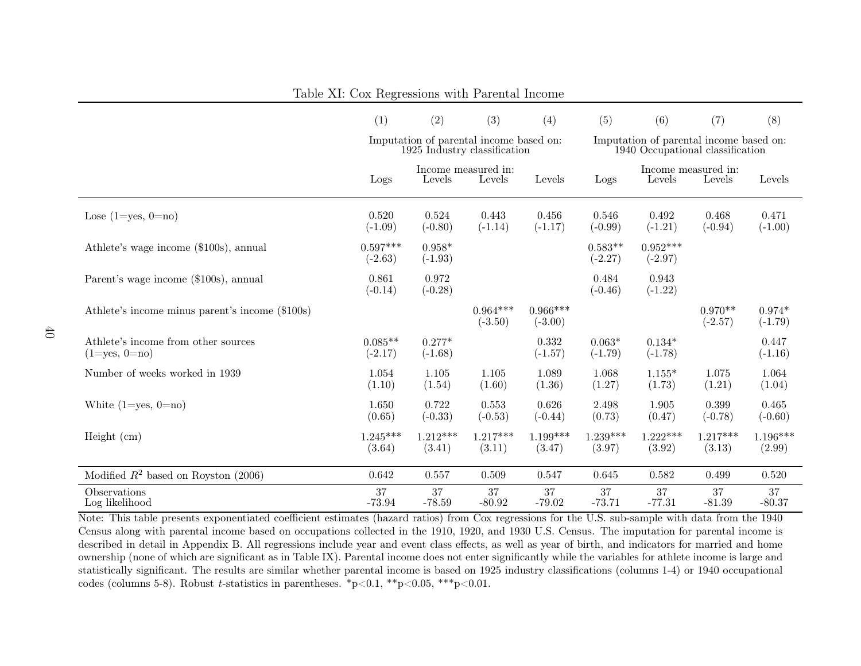|                                                            | (1)                     | (2)                   | (3)                                                                     | (4)                     | (5)                                                                         | (6)                     | (7)                           | (8)                   |
|------------------------------------------------------------|-------------------------|-----------------------|-------------------------------------------------------------------------|-------------------------|-----------------------------------------------------------------------------|-------------------------|-------------------------------|-----------------------|
|                                                            |                         |                       | Imputation of parental income based on:<br>1925 Industry classification |                         | Imputation of parental income based on:<br>1940 Occupational classification |                         |                               |                       |
|                                                            | Logs                    | Levels                | Income measured in:<br>Levels                                           | Levels                  | Logs                                                                        | Levels                  | Income measured in:<br>Levels | Levels                |
| Lose $(1 = yes, 0 = no)$                                   | 0.520<br>$(-1.09)$      | 0.524<br>$(-0.80)$    | 0.443<br>$(-1.14)$                                                      | 0.456<br>$(-1.17)$      | 0.546<br>$(-0.99)$                                                          | 0.492<br>$(-1.21)$      | 0.468<br>$(-0.94)$            | 0.471<br>$(-1.00)$    |
| Athlete's wage income (\$100s), annual                     | $0.597***$<br>$(-2.63)$ | $0.958*$<br>$(-1.93)$ |                                                                         |                         | $0.583**$<br>$(-2.27)$                                                      | $0.952***$<br>$(-2.97)$ |                               |                       |
| Parent's wage income (\$100s), annual                      | 0.861<br>$(-0.14)$      | 0.972<br>$(-0.28)$    |                                                                         |                         | 0.484<br>$(-0.46)$                                                          | 0.943<br>$(-1.22)$      |                               |                       |
| Athlete's income minus parent's income (\$100s)            |                         |                       | $0.964***$<br>$(-3.50)$                                                 | $0.966***$<br>$(-3.00)$ |                                                                             |                         | $0.970**$<br>$(-2.57)$        | $0.974*$<br>$(-1.79)$ |
| Athlete's income from other sources<br>$(1 = yes, 0 = no)$ | $0.085**$<br>$(-2.17)$  | $0.277*$<br>$(-1.68)$ |                                                                         | 0.332<br>$(-1.57)$      | $0.063*$<br>$(-1.79)$                                                       | $0.134*$<br>$(-1.78)$   |                               | 0.447<br>$(-1.16)$    |
| Number of weeks worked in 1939                             | 1.054<br>(1.10)         | 1.105<br>(1.54)       | 1.105<br>(1.60)                                                         | 1.089<br>(1.36)         | 1.068<br>(1.27)                                                             | $1.155*$<br>(1.73)      | 1.075<br>(1.21)               | 1.064<br>(1.04)       |
| White $(1 = yes, 0 = no)$                                  | 1.650<br>(0.65)         | 0.722<br>$(-0.33)$    | 0.553<br>$(-0.53)$                                                      | 0.626<br>$(-0.44)$      | 2.498<br>(0.73)                                                             | 1.905<br>(0.47)         | 0.399<br>$(-0.78)$            | 0.465<br>$(-0.60)$    |
| Height $(cm)$                                              | $1.245***$<br>(3.64)    | $1.212***$<br>(3.41)  | $1.217***$<br>(3.11)                                                    | $1.199***$<br>(3.47)    | $1.239***$<br>(3.97)                                                        | $1.222***$<br>(3.92)    | $1.217***$<br>(3.13)          | $1.196***$<br>(2.99)  |
| Modified $R^2$ based on Royston (2006)                     | 0.642                   | 0.557                 | 0.509                                                                   | 0.547                   | 0.645                                                                       | 0.582                   | 0.499                         | 0.520                 |
| Observations<br>Log likelihood                             | 37<br>$-73.94$          | 37<br>$-78.59$        | 37<br>$-80.92$                                                          | 37<br>$-79.02$          | 37<br>$-73.71$                                                              | 37<br>$-77.31$          | 37<br>$-81.39$                | 37<br>$-80.37$        |

Table XI: Cox Regressions with Parental Income

Note: This table presents exponentiated coefficient estimates (hazard ratios) from Cox regressions for the U.S. sub-sample with data from the <sup>1940</sup> Census along with parental income based on occupations collected in the 1910, 1920, and 1930 U.S. Census. The imputation for parental income is described in detail in Appendix B. All regressions include year and event class <sup>e</sup>ffects, as well as year of birth, and indicators for married and home ownership (none of which are significant as in Table IX). Parental income does not enter significantly while the variables for athlete income is large and statistically significant. The results are similar whether parental income is based on <sup>1925</sup> industry classifications (columns 1-4) or <sup>1940</sup> occupational codes (columns 5-8). Robust *t*-statistics in parentheses. \*p<0.1, \*\*p<0.05, \*\*\*p<0.01.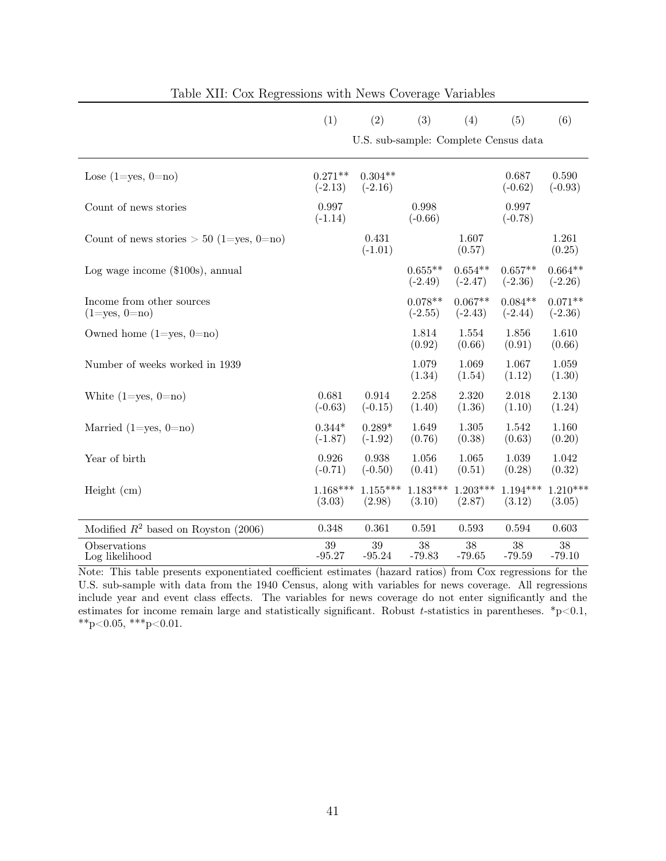|                                                  | (1)                                   | (2)                    | (3)                    | (4)                    | (5)                    | (6)                    |  |  |  |
|--------------------------------------------------|---------------------------------------|------------------------|------------------------|------------------------|------------------------|------------------------|--|--|--|
|                                                  | U.S. sub-sample: Complete Census data |                        |                        |                        |                        |                        |  |  |  |
| Lose $(1 = yes, 0 = no)$                         | $0.271**$<br>$(-2.13)$                | $0.304**$<br>$(-2.16)$ |                        |                        | 0.687<br>$(-0.62)$     | 0.590<br>$(-0.93)$     |  |  |  |
| Count of news stories                            | 0.997<br>$(-1.14)$                    |                        | 0.998<br>$(-0.66)$     |                        | 0.997<br>$(-0.78)$     |                        |  |  |  |
| Count of news stories $> 50$ (1=yes, 0=no)       |                                       | 0.431<br>$(-1.01)$     |                        | 1.607<br>(0.57)        |                        | 1.261<br>(0.25)        |  |  |  |
| Log wage income $(\$100s)$ , annual              |                                       |                        | $0.655**$<br>$(-2.49)$ | $0.654**$<br>$(-2.47)$ | $0.657**$<br>$(-2.36)$ | $0.664**$<br>$(-2.26)$ |  |  |  |
| Income from other sources<br>$(1 = yes, 0 = no)$ |                                       |                        | $0.078**$<br>$(-2.55)$ | $0.067**$<br>$(-2.43)$ | $0.084**$<br>$(-2.44)$ | $0.071**$<br>$(-2.36)$ |  |  |  |
| Owned home $(1 = yes, 0 = no)$                   |                                       |                        | 1.814<br>(0.92)        | 1.554<br>(0.66)        | 1.856<br>(0.91)        | 1.610<br>(0.66)        |  |  |  |
| Number of weeks worked in 1939                   |                                       |                        | 1.079<br>(1.34)        | 1.069<br>(1.54)        | 1.067<br>(1.12)        | 1.059<br>(1.30)        |  |  |  |
| White $(1 = yes, 0 = no)$                        | 0.681<br>$(-0.63)$                    | 0.914<br>$(-0.15)$     | 2.258<br>(1.40)        | 2.320<br>(1.36)        | 2.018<br>(1.10)        | 2.130<br>(1.24)        |  |  |  |
| Married $(1 = yes, 0 = no)$                      | $0.344*$<br>$(-1.87)$                 | $0.289*$<br>$(-1.92)$  | 1.649<br>(0.76)        | 1.305<br>(0.38)        | 1.542<br>(0.63)        | 1.160<br>(0.20)        |  |  |  |
| Year of birth                                    | 0.926<br>$(-0.71)$                    | 0.938<br>$(-0.50)$     | 1.056<br>(0.41)        | 1.065<br>(0.51)        | 1.039<br>(0.28)        | 1.042<br>(0.32)        |  |  |  |
| Height $(cm)$                                    | $1.168***$<br>(3.03)                  | $1.155***$<br>(2.98)   | $1.183***$<br>(3.10)   | $1.203***$<br>(2.87)   | $1.194***$<br>(3.12)   | $1.210***$<br>(3.05)   |  |  |  |
| Modified $R^2$ based on Royston (2006)           | 0.348                                 | 0.361                  | 0.591                  | 0.593                  | 0.594                  | 0.603                  |  |  |  |
| Observations<br>Log likelihood                   | 39<br>$-95.27$                        | $39\,$<br>$-95.24$     | 38<br>$-79.83$         | 38<br>$-79.65$         | 38<br>$-79.59$         | 38<br>$-79.10$         |  |  |  |

|  |  | Table XII: Cox Regressions with News Coverage Variables |  |  |  |
|--|--|---------------------------------------------------------|--|--|--|
|--|--|---------------------------------------------------------|--|--|--|

Note: This table presents exponentiated coefficient estimates (hazard ratios) from Cox regressions for the U.S. sub-sample with data from the 1940 Census, along with variables for news coverage. All regressions include year and event class effects. The variables for news coverage do not enter significantly and the estimates for income remain large and statistically significant. Robust *t*-statistics in parentheses. \*p<0.1, \*\*p<0.05, \*\*\*p<0.01.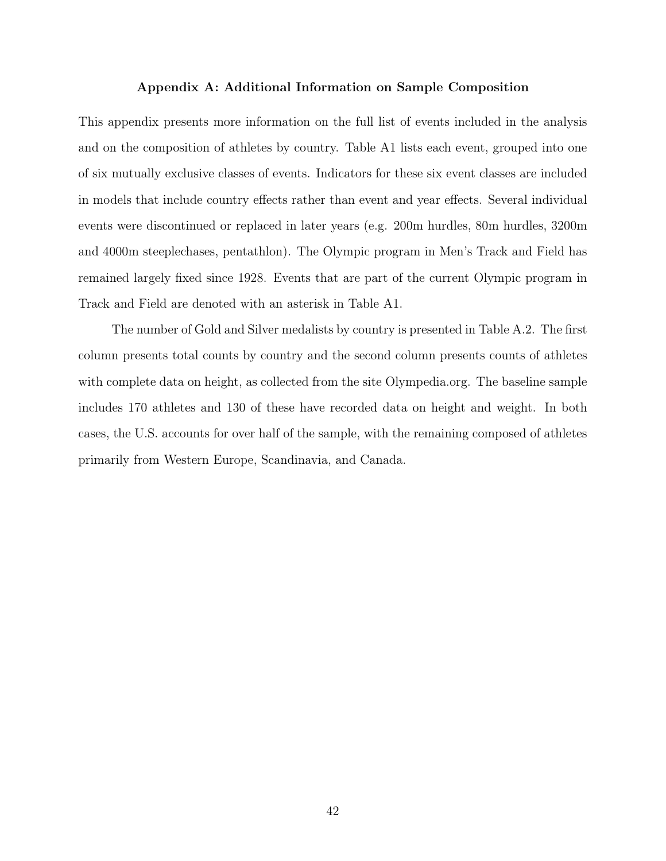# Appendix A: Additional Information on Sample Composition

This appendix presents more information on the full list of events included in the analysis and on the composition of athletes by country. Table A1 lists each event, grouped into one of six mutually exclusive classes of events. Indicators for these six event classes are included in models that include country effects rather than event and year effects. Several individual events were discontinued or replaced in later years (e.g. 200m hurdles, 80m hurdles, 3200m and 4000m steeplechases, pentathlon). The Olympic program in Men's Track and Field has remained largely fixed since 1928. Events that are part of the current Olympic program in Track and Field are denoted with an asterisk in Table A1.

The number of Gold and Silver medalists by country is presented in Table A.2. The first column presents total counts by country and the second column presents counts of athletes with complete data on height, as collected from the site Olympedia.org. The baseline sample includes 170 athletes and 130 of these have recorded data on height and weight. In both cases, the U.S. accounts for over half of the sample, with the remaining composed of athletes primarily from Western Europe, Scandinavia, and Canada.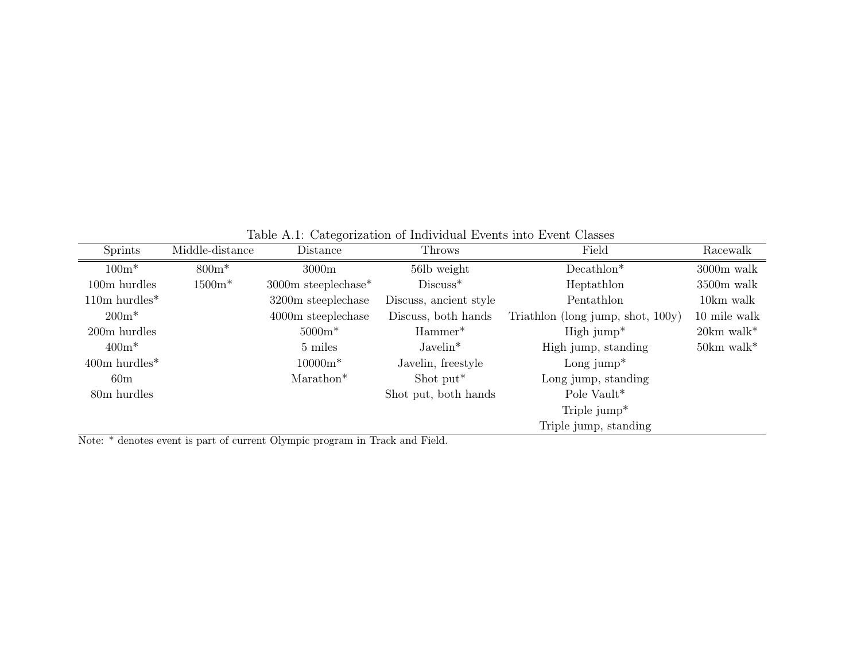| <b>Sprints</b>              | Middle-distance      | Distance              | <b>Throws</b>          | Field                             | Racewalk                 |
|-----------------------------|----------------------|-----------------------|------------------------|-----------------------------------|--------------------------|
| $100m*$                     | $800m*$              | 3000m                 | 56lb weight            | $Decimalhlon^*$                   | $3000m$ walk             |
| $100m$ hurdles              | $1500m*$             | $3000m$ steeplechase* | $Discuss*$             | Heptathlon                        | $3500m$ walk             |
| $110m$ hurdles <sup>*</sup> |                      | 3200m steeplechase    | Discuss, ancient style | Pentathlon                        | 10km walk                |
| $200m*$                     | $4000m$ steeplechase |                       | Discuss, both hands    | Triathlon (long jump, shot, 100y) | 10 mile walk             |
| 200m hurdles                |                      | $5000m*$              | Hammer <sup>*</sup>    | $High jump*$                      | $20km$ walk*             |
| $400m*$                     |                      | 5 miles               | $Javelin*$             | High jump, standing               | $50km$ walk <sup>*</sup> |
| $400m$ hurdles <sup>*</sup> |                      | $10000m*$             | Javelin, freestyle     | Long jump <sup>*</sup>            |                          |
| 60 <sub>m</sub>             |                      | Marathon <sup>*</sup> | Shot put <sup>*</sup>  | Long jump, standing               |                          |
| 80m hurdles                 |                      |                       | Shot put, both hands   | Pole Vault*                       |                          |
|                             |                      |                       |                        | Triple $jump*$                    |                          |
|                             |                      |                       |                        | Triple jump, standing             |                          |

Table A.1: Categorization of Individual Events into Event Classes

Note: \* denotes event is part of current Olympic program in Track and Field.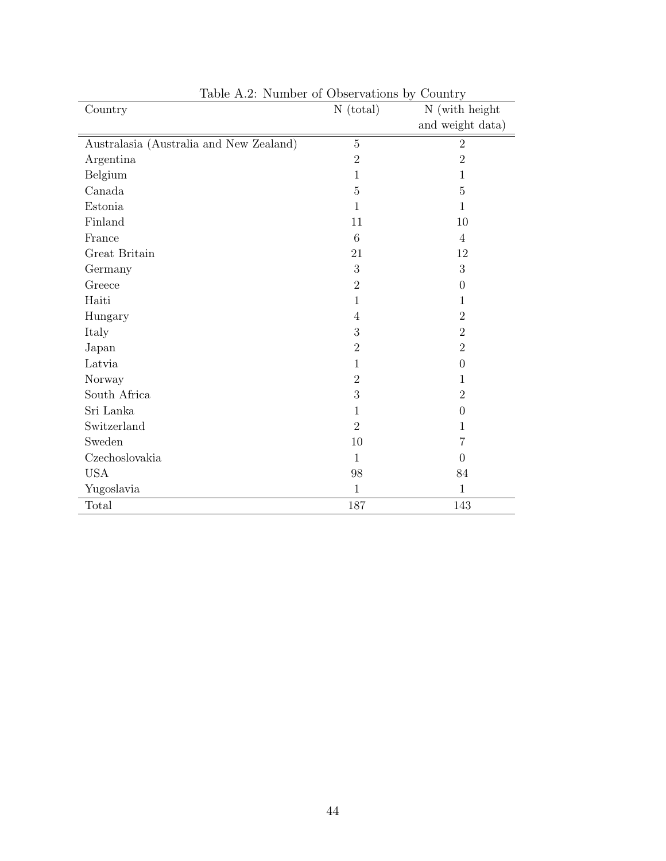| Country                                 | $N$ (total)    | N (with height   |
|-----------------------------------------|----------------|------------------|
|                                         |                | and weight data) |
| Australasia (Australia and New Zealand) | $\overline{5}$ | $\mathbf{2}$     |
| Argentina                               | $\overline{2}$ | $\overline{2}$   |
| Belgium                                 | $\mathbf{1}$   | $\mathbf 1$      |
| Canada                                  | $\overline{5}$ | 5                |
| Estonia                                 | 1              | $\mathbf 1$      |
| Finland                                 | 11             | 10               |
| France                                  | 6              | $\overline{4}$   |
| Great Britain                           | 21             | 12               |
| Germany                                 | 3              | 3                |
| Greece                                  | $\overline{2}$ | $\theta$         |
| Haiti                                   | 1              | 1                |
| Hungary                                 | 4              | $\overline{2}$   |
| Italy                                   | 3              | $\overline{2}$   |
| Japan                                   | $\overline{2}$ | $\overline{2}$   |
| Latvia                                  | $\mathbf{1}$   | $\overline{0}$   |
| Norway                                  | $\overline{2}$ | $\mathbf 1$      |
| South Africa                            | 3              | $\overline{2}$   |
| Sri Lanka                               | 1              | $\theta$         |
| Switzerland                             | $\overline{2}$ | 1                |
| Sweden                                  | 10             | $\overline{7}$   |
| Czechoslovakia                          | $\mathbf{1}$   | $\theta$         |
| <b>USA</b>                              | 98             | 84               |
| Yugoslavia                              | $\mathbf{1}$   | $\mathbf{1}$     |
| Total                                   | 187            | 143              |

Table A.2: Number of Observations by Country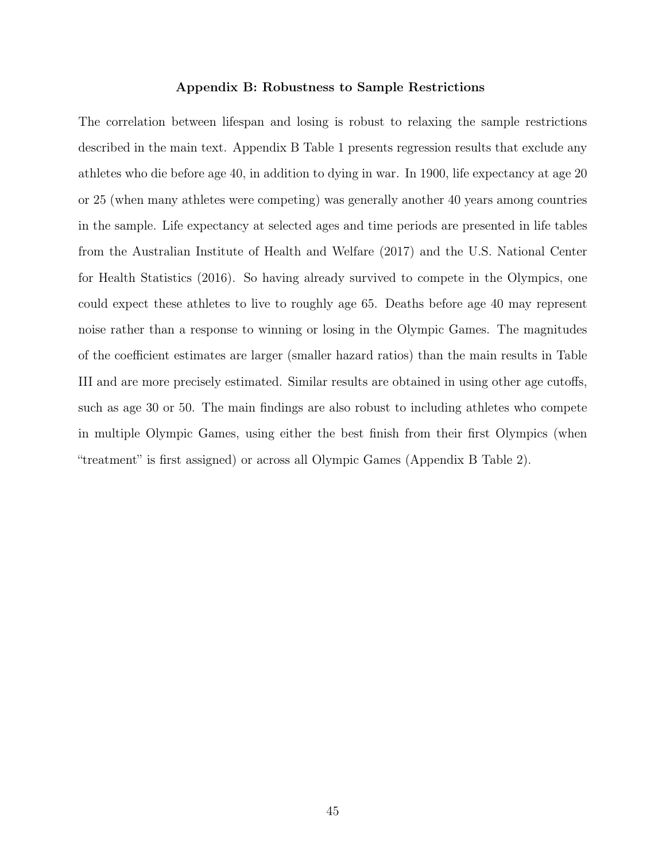# Appendix B: Robustness to Sample Restrictions

The correlation between lifespan and losing is robust to relaxing the sample restrictions described in the main text. Appendix B Table 1 presents regression results that exclude any athletes who die before age 40, in addition to dying in war. In 1900, life expectancy at age 20 or 25 (when many athletes were competing) was generally another 40 years among countries in the sample. Life expectancy at selected ages and time periods are presented in life tables from the Australian Institute of Health and Welfare (2017) and the U.S. National Center for Health Statistics (2016). So having already survived to compete in the Olympics, one could expect these athletes to live to roughly age 65. Deaths before age 40 may represent noise rather than a response to winning or losing in the Olympic Games. The magnitudes of the coefficient estimates are larger (smaller hazard ratios) than the main results in Table III and are more precisely estimated. Similar results are obtained in using other age cutoffs, such as age 30 or 50. The main findings are also robust to including athletes who compete in multiple Olympic Games, using either the best finish from their first Olympics (when "treatment" is first assigned) or across all Olympic Games (Appendix B Table 2).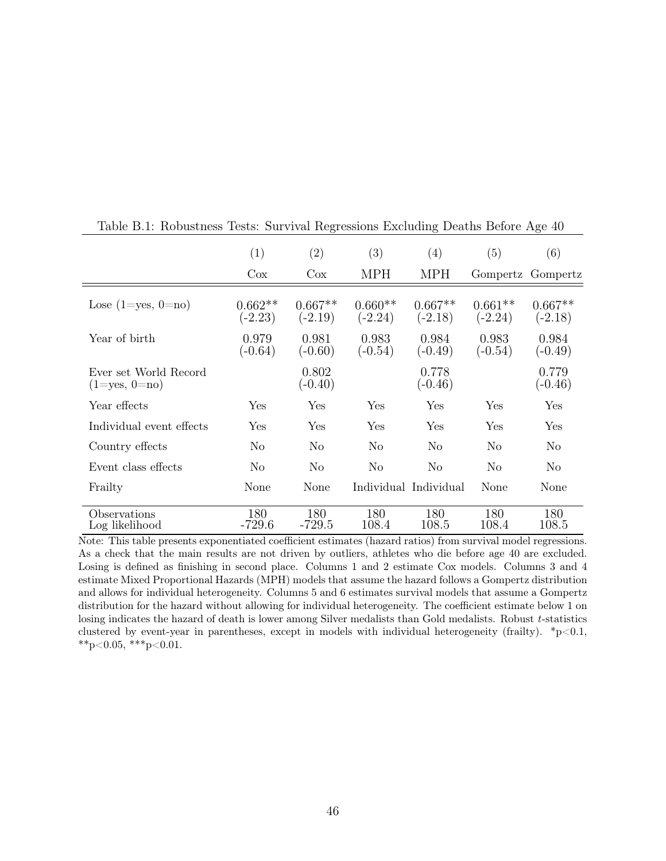|                                              | (1)<br>$\cos$          | (2)<br>$\cos$          | (3)<br><b>MPH</b>      | (4)<br><b>MPH</b>      | (5)<br>Gompertz        | (6)<br>Gompertz        |
|----------------------------------------------|------------------------|------------------------|------------------------|------------------------|------------------------|------------------------|
|                                              |                        |                        |                        |                        |                        |                        |
| Lose $(1 = yes, 0 = no)$                     | $0.662**$<br>$(-2.23)$ | $0.667**$<br>$(-2.19)$ | $0.660**$<br>$(-2.24)$ | $0.667**$<br>$(-2.18)$ | $0.661**$<br>$(-2.24)$ | $0.667**$<br>$(-2.18)$ |
| Year of birth                                | 0.979<br>$(-0.64)$     | 0.981<br>$(-0.60)$     | 0.983<br>$(-0.54)$     | 0.984<br>$(-0.49)$     | 0.983<br>$(-0.54)$     | 0.984<br>$(-0.49)$     |
| Ever set World Record<br>$(1 = yes, 0 = no)$ |                        | 0.802<br>$(-0.40)$     |                        | 0.778<br>$(-0.46)$     |                        | 0.779<br>$(-0.46)$     |
| Year effects                                 | Yes                    | Yes                    | Yes                    | Yes                    | Yes                    | Yes                    |
| Individual event effects                     | Yes                    | Yes                    | Yes                    | Yes                    | Yes                    | Yes                    |
| Country effects                              | No                     | N <sub>0</sub>         | No                     | No                     | No                     | N <sub>0</sub>         |
| Event class effects                          | N <sub>o</sub>         | N <sub>o</sub>         | No                     | No                     | No                     | N <sub>0</sub>         |
| Frailty                                      | None                   | None                   |                        | Individual Individual  | None                   | None                   |
| Observations<br>Log likelihood               | 180<br>$-729.6$        | 180<br>$-729.5$        | 180<br>108.4           | 180<br>108.5           | 180<br>108.4           | 180<br>108.5           |

Table B.1: Robustness Tests: Survival Regressions Excluding Deaths Before Age 40

Note: This table presents exponentiated coefficient estimates (hazard ratios) from survival model regressions. As a check that the main results are not driven by outliers, athletes who die before age 40 are excluded. Losing is defined as finishing in second place. Columns 1 and 2 estimate Cox models. Columns 3 and 4 estimate Mixed Proportional Hazards (MPH) models that assume the hazard follows a Gompertz distribution and allows for individual heterogeneity. Columns 5 and 6 estimates survival models that assume a Gompertz distribution for the hazard without allowing for individual heterogeneity. The coefficient estimate below 1 on losing indicates the hazard of death is lower among Silver medalists than Gold medalists. Robust *t*-statistics clustered by event-year in parentheses, except in models with individual heterogeneity (frailty).  $*_{p} < 0.1$ , \*\*p<0.05, \*\*\*p<0.01.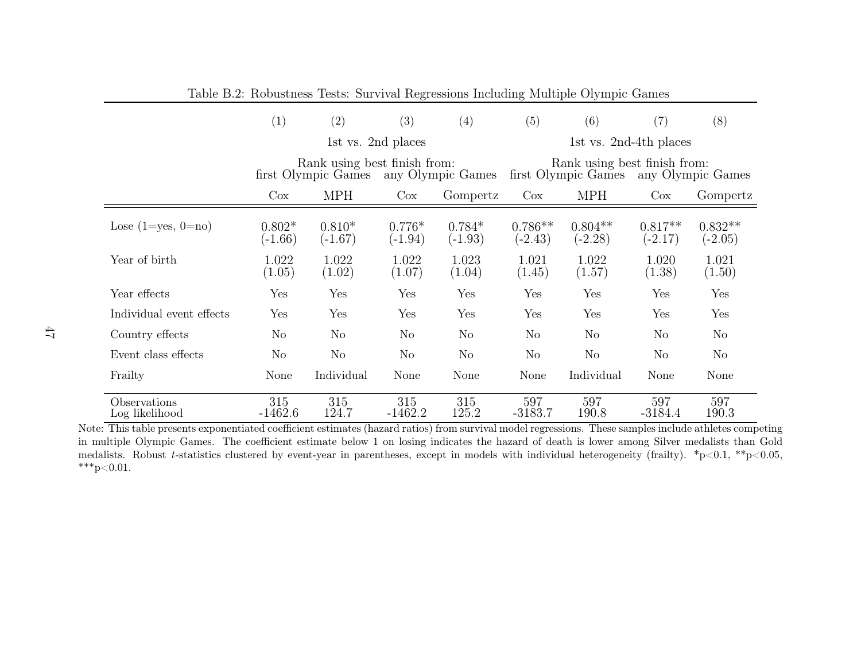|                                | (1)                                                                      | (2)                   | (3)                   | (4)                                                                      | (5)                    | (6)                    | (7)                    | (8)                    |
|--------------------------------|--------------------------------------------------------------------------|-----------------------|-----------------------|--------------------------------------------------------------------------|------------------------|------------------------|------------------------|------------------------|
|                                | 1st vs. 2nd places                                                       |                       |                       |                                                                          | 1st vs. 2nd-4th places |                        |                        |                        |
|                                | Rank using best finish from:<br>any Olympic Games<br>first Olympic Games |                       |                       | Rank using best finish from:<br>first Olympic Games<br>any Olympic Games |                        |                        |                        |                        |
|                                | Cox                                                                      | <b>MPH</b>            | Cox                   | Gompertz                                                                 | Cox                    | <b>MPH</b>             | $\cos$                 | Gompertz               |
| Lose $(1 = yes, 0 = no)$       | $0.802*$<br>$(-1.66)$                                                    | $0.810*$<br>$(-1.67)$ | $0.776*$<br>$(-1.94)$ | $0.784*$<br>$(-1.93)$                                                    | $0.786**$<br>$(-2.43)$ | $0.804**$<br>$(-2.28)$ | $0.817**$<br>$(-2.17)$ | $0.832**$<br>$(-2.05)$ |
| Year of birth                  | 1.022<br>(1.05)                                                          | 1.022<br>(1.02)       | 1.022<br>(1.07)       | 1.023<br>(1.04)                                                          | 1.021<br>(1.45)        | 1.022<br>(1.57)        | 1.020<br>(1.38)        | 1.021<br>(1.50)        |
| Year effects                   | Yes                                                                      | Yes                   | Yes                   | Yes                                                                      | Yes                    | Yes                    | Yes                    | Yes                    |
| Individual event effects       | $_{\rm Yes}$                                                             | Yes                   | Yes                   | Yes                                                                      | Yes                    | Yes                    | Yes                    | Yes                    |
| Country effects                | No                                                                       | N <sub>o</sub>        | N <sub>o</sub>        | No                                                                       | N <sub>o</sub>         | No                     | No                     | No                     |
| Event class effects            | N <sub>o</sub>                                                           | N <sub>o</sub>        | $\rm No$              | N <sub>o</sub>                                                           | No                     | N <sub>o</sub>         | N <sub>o</sub>         | No                     |
| Frailty                        | None                                                                     | Individual            | None                  | None                                                                     | None                   | Individual             | None                   | None                   |
| Observations<br>Log likelihood | 315<br>$-1462.6$                                                         | 315<br>124.7          | 315<br>$-1462.2$      | 315<br>125.2                                                             | 597<br>$-3183.7$       | 597<br>190.8           | 597<br>$-3184.4$       | 597<br>190.3           |

Table B.2: Robustness Tests: Survival Regressions Including Multiple Olympic Games

Note: This table presents exponentiated coe fficient estimates (hazard ratios) from survival model regressions. These samples include athletes competing in multiple Olympic Games. The coe fficient estimate below 1 on losing indicates the hazard of death is lower among Silver medalists than Gold medalists. Robust *<sup>t</sup>*-statistics clustered by event-year in parentheses, except in models with individual heterogeneity (frailty). \*p<0.1, \*\*p<0.05,  $***p<0.01$ .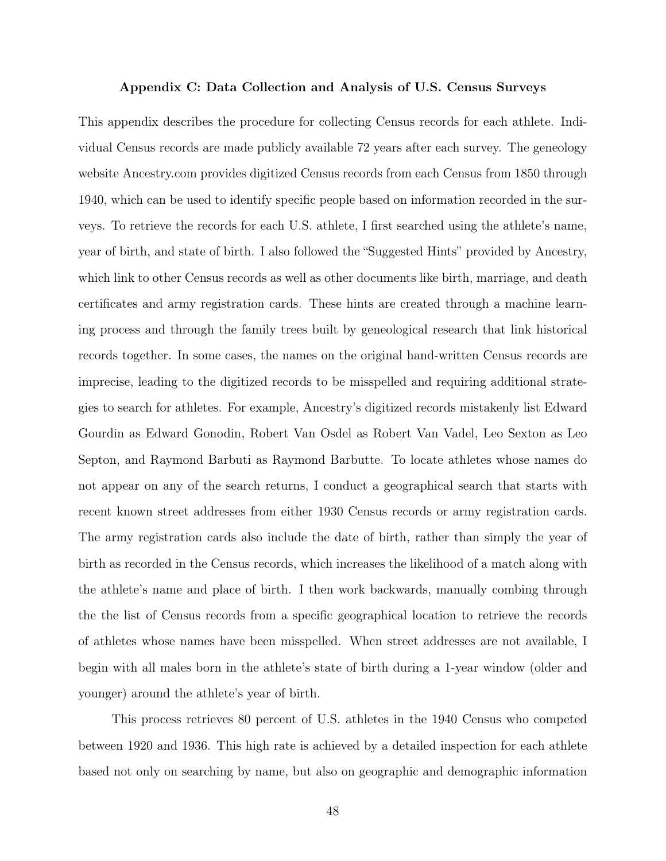#### Appendix C: Data Collection and Analysis of U.S. Census Surveys

This appendix describes the procedure for collecting Census records for each athlete. Individual Census records are made publicly available 72 years after each survey. The geneology website Ancestry.com provides digitized Census records from each Census from 1850 through 1940, which can be used to identify specific people based on information recorded in the surveys. To retrieve the records for each U.S. athlete, I first searched using the athlete's name, year of birth, and state of birth. I also followed the "Suggested Hints" provided by Ancestry, which link to other Census records as well as other documents like birth, marriage, and death certificates and army registration cards. These hints are created through a machine learning process and through the family trees built by geneological research that link historical records together. In some cases, the names on the original hand-written Census records are imprecise, leading to the digitized records to be misspelled and requiring additional strategies to search for athletes. For example, Ancestry's digitized records mistakenly list Edward Gourdin as Edward Gonodin, Robert Van Osdel as Robert Van Vadel, Leo Sexton as Leo Septon, and Raymond Barbuti as Raymond Barbutte. To locate athletes whose names do not appear on any of the search returns, I conduct a geographical search that starts with recent known street addresses from either 1930 Census records or army registration cards. The army registration cards also include the date of birth, rather than simply the year of birth as recorded in the Census records, which increases the likelihood of a match along with the athlete's name and place of birth. I then work backwards, manually combing through the the list of Census records from a specific geographical location to retrieve the records of athletes whose names have been misspelled. When street addresses are not available, I begin with all males born in the athlete's state of birth during a 1-year window (older and younger) around the athlete's year of birth.

This process retrieves 80 percent of U.S. athletes in the 1940 Census who competed between 1920 and 1936. This high rate is achieved by a detailed inspection for each athlete based not only on searching by name, but also on geographic and demographic information